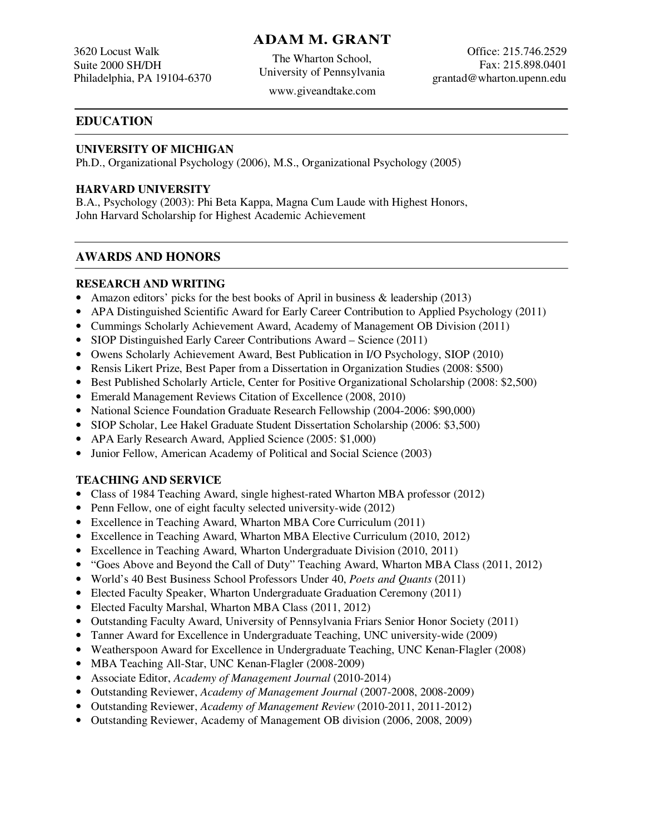## **ADAM M. GRANT**

3620 Locust Walk Suite 2000 SH/DH Philadelphia, PA 19104-6370

The Wharton School, University of Pennsylvania

Office: 215.746.2529 Fax: 215.898.0401 grantad@wharton.upenn.edu

# www.giveandtake.com

## **EDUCATION**

#### **UNIVERSITY OF MICHIGAN**

Ph.D., Organizational Psychology (2006), M.S., Organizational Psychology (2005)

#### **HARVARD UNIVERSITY**

B.A., Psychology (2003): Phi Beta Kappa, Magna Cum Laude with Highest Honors, John Harvard Scholarship for Highest Academic Achievement

### **AWARDS AND HONORS**

#### **RESEARCH AND WRITING**

- Amazon editors' picks for the best books of April in business & leadership (2013)
- APA Distinguished Scientific Award for Early Career Contribution to Applied Psychology (2011)
- Cummings Scholarly Achievement Award, Academy of Management OB Division (2011)
- SIOP Distinguished Early Career Contributions Award Science (2011)
- Owens Scholarly Achievement Award, Best Publication in I/O Psychology, SIOP (2010)
- Rensis Likert Prize, Best Paper from a Dissertation in Organization Studies (2008: \$500)
- Best Published Scholarly Article, Center for Positive Organizational Scholarship (2008: \$2,500)
- Emerald Management Reviews Citation of Excellence (2008, 2010)
- National Science Foundation Graduate Research Fellowship (2004-2006: \$90,000)
- SIOP Scholar, Lee Hakel Graduate Student Dissertation Scholarship (2006: \$3,500)
- APA Early Research Award, Applied Science (2005: \$1,000)
- Junior Fellow, American Academy of Political and Social Science (2003)

## **TEACHING AND SERVICE**

- Class of 1984 Teaching Award, single highest-rated Wharton MBA professor (2012)
- Penn Fellow, one of eight faculty selected university-wide (2012)
- Excellence in Teaching Award, Wharton MBA Core Curriculum (2011)
- Excellence in Teaching Award, Wharton MBA Elective Curriculum (2010, 2012)
- Excellence in Teaching Award, Wharton Undergraduate Division (2010, 2011)
- "Goes Above and Beyond the Call of Duty" Teaching Award, Wharton MBA Class (2011, 2012)
- World's 40 Best Business School Professors Under 40, *Poets and Quants* (2011)
- Elected Faculty Speaker, Wharton Undergraduate Graduation Ceremony (2011)
- Elected Faculty Marshal, Wharton MBA Class (2011, 2012)
- Outstanding Faculty Award, University of Pennsylvania Friars Senior Honor Society (2011)
- Tanner Award for Excellence in Undergraduate Teaching, UNC university-wide (2009)
- Weatherspoon Award for Excellence in Undergraduate Teaching, UNC Kenan-Flagler (2008)
- MBA Teaching All-Star, UNC Kenan-Flagler (2008-2009)
- Associate Editor, *Academy of Management Journal* (2010-2014)
- Outstanding Reviewer, *Academy of Management Journal* (2007-2008, 2008-2009)
- Outstanding Reviewer, *Academy of Management Review* (2010-2011, 2011-2012)
- Outstanding Reviewer, Academy of Management OB division (2006, 2008, 2009)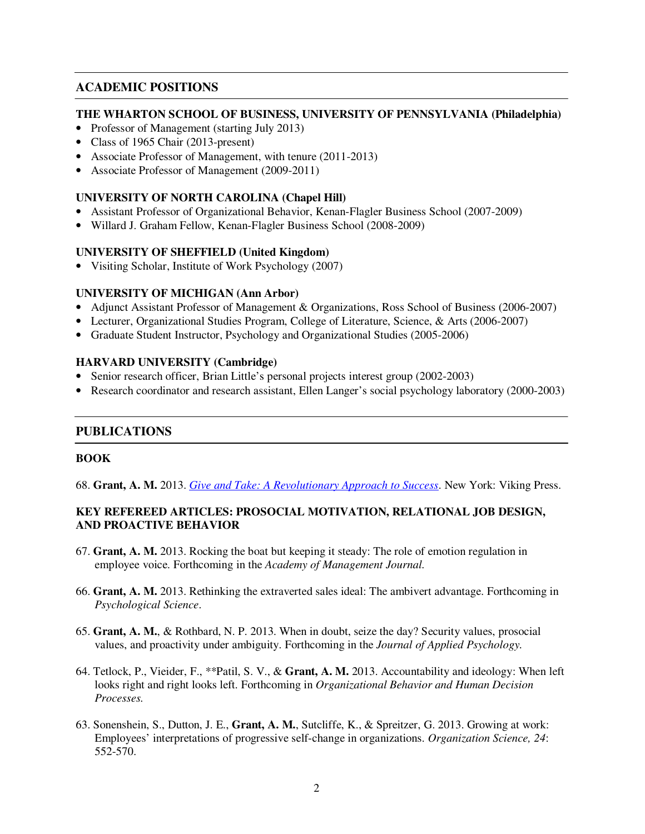## **ACADEMIC POSITIONS**

#### **THE WHARTON SCHOOL OF BUSINESS, UNIVERSITY OF PENNSYLVANIA (Philadelphia)**

- Professor of Management (starting July 2013)
- Class of 1965 Chair (2013-present)
- Associate Professor of Management, with tenure (2011-2013)
- Associate Professor of Management (2009-2011)

#### **UNIVERSITY OF NORTH CAROLINA (Chapel Hill)**

- Assistant Professor of Organizational Behavior, Kenan-Flagler Business School (2007-2009)
- Willard J. Graham Fellow, Kenan-Flagler Business School (2008-2009)

#### **UNIVERSITY OF SHEFFIELD (United Kingdom)**

• Visiting Scholar, Institute of Work Psychology (2007)

#### **UNIVERSITY OF MICHIGAN (Ann Arbor)**

- Adjunct Assistant Professor of Management & Organizations, Ross School of Business (2006-2007)
- Lecturer, Organizational Studies Program, College of Literature, Science, & Arts (2006-2007)
- Graduate Student Instructor, Psychology and Organizational Studies (2005-2006)

#### **HARVARD UNIVERSITY (Cambridge)**

- Senior research officer, Brian Little's personal projects interest group (2002-2003)
- Research coordinator and research assistant, Ellen Langer's social psychology laboratory (2000-2003)

#### **PUBLICATIONS**

#### **BOOK**

68. **Grant, A. M.** 2013. *Give and Take: A Revolutionary Approach to Success*. New York: Viking Press.

#### **KEY REFEREED ARTICLES: PROSOCIAL MOTIVATION, RELATIONAL JOB DESIGN, AND PROACTIVE BEHAVIOR**

- 67. **Grant, A. M.** 2013. Rocking the boat but keeping it steady: The role of emotion regulation in employee voice. Forthcoming in the *Academy of Management Journal.*
- 66. **Grant, A. M.** 2013. Rethinking the extraverted sales ideal: The ambivert advantage. Forthcoming in *Psychological Science*.
- 65. **Grant, A. M.**, & Rothbard, N. P. 2013. When in doubt, seize the day? Security values, prosocial values, and proactivity under ambiguity. Forthcoming in the *Journal of Applied Psychology.*
- 64. Tetlock, P., Vieider, F., \*\*Patil, S. V., & **Grant, A. M.** 2013. Accountability and ideology: When left looks right and right looks left. Forthcoming in *Organizational Behavior and Human Decision Processes.*
- 63. Sonenshein, S., Dutton, J. E., **Grant, A. M.**, Sutcliffe, K., & Spreitzer, G. 2013. Growing at work: Employees' interpretations of progressive self-change in organizations. *Organization Science, 24*: 552-570.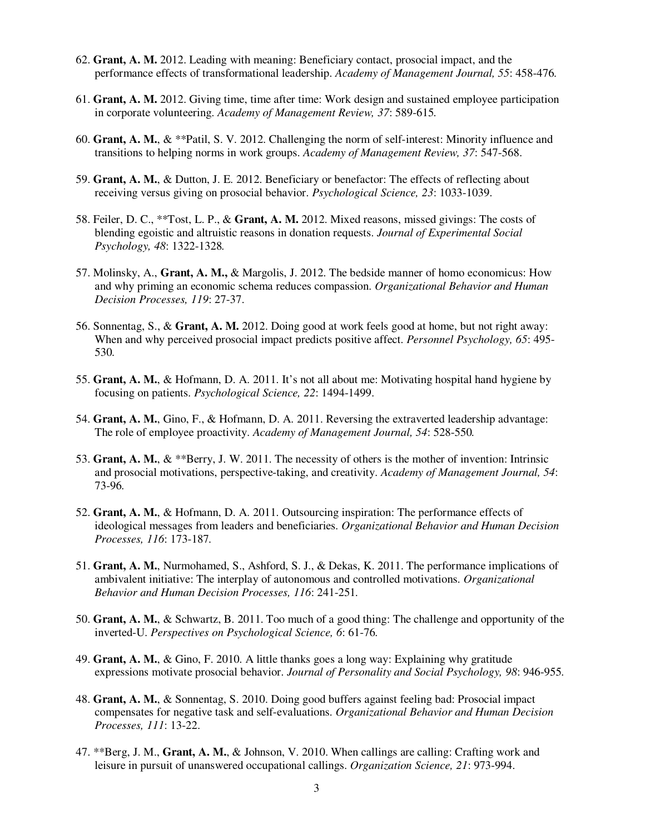- 62. **Grant, A. M.** 2012. Leading with meaning: Beneficiary contact, prosocial impact, and the performance effects of transformational leadership. *Academy of Management Journal, 55*: 458-476*.*
- 61. **Grant, A. M.** 2012. Giving time, time after time: Work design and sustained employee participation in corporate volunteering. *Academy of Management Review, 37*: 589-615*.*
- 60. **Grant, A. M.**, & \*\*Patil, S. V. 2012. Challenging the norm of self-interest: Minority influence and transitions to helping norms in work groups. *Academy of Management Review, 37*: 547-568.
- 59. **Grant, A. M.**, & Dutton, J. E. 2012. Beneficiary or benefactor: The effects of reflecting about receiving versus giving on prosocial behavior. *Psychological Science, 23*: 1033-1039.
- 58. Feiler, D. C., \*\*Tost, L. P., & **Grant, A. M.** 2012. Mixed reasons, missed givings: The costs of blending egoistic and altruistic reasons in donation requests. *Journal of Experimental Social Psychology, 48*: 1322-1328*.*
- 57. Molinsky, A., **Grant, A. M.,** & Margolis, J. 2012. The bedside manner of homo economicus: How and why priming an economic schema reduces compassion. *Organizational Behavior and Human Decision Processes, 119*: 27-37.
- 56. Sonnentag, S., & **Grant, A. M.** 2012. Doing good at work feels good at home, but not right away: When and why perceived prosocial impact predicts positive affect. *Personnel Psychology, 65*: 495- 530*.*
- 55. **Grant, A. M.**, & Hofmann, D. A. 2011. It's not all about me: Motivating hospital hand hygiene by focusing on patients. *Psychological Science, 22*: 1494-1499.
- 54. **Grant, A. M.**, Gino, F., & Hofmann, D. A. 2011. Reversing the extraverted leadership advantage: The role of employee proactivity. *Academy of Management Journal, 54*: 528-550*.*
- 53. **Grant, A. M.**, & \*\*Berry, J. W. 2011. The necessity of others is the mother of invention: Intrinsic and prosocial motivations, perspective-taking, and creativity. *Academy of Management Journal, 54*: 73-96*.*
- 52. **Grant, A. M.**, & Hofmann, D. A. 2011. Outsourcing inspiration: The performance effects of ideological messages from leaders and beneficiaries. *Organizational Behavior and Human Decision Processes, 116*: 173-187*.*
- 51. **Grant, A. M.**, Nurmohamed, S., Ashford, S. J., & Dekas, K. 2011. The performance implications of ambivalent initiative: The interplay of autonomous and controlled motivations. *Organizational Behavior and Human Decision Processes, 116*: 241-251*.*
- 50. **Grant, A. M.**, & Schwartz, B. 2011. Too much of a good thing: The challenge and opportunity of the inverted-U. *Perspectives on Psychological Science, 6*: 61-76*.*
- 49. **Grant, A. M.**, & Gino, F. 2010. A little thanks goes a long way: Explaining why gratitude expressions motivate prosocial behavior. *Journal of Personality and Social Psychology, 98*: 946-955*.*
- 48. **Grant, A. M.**, & Sonnentag, S. 2010. Doing good buffers against feeling bad: Prosocial impact compensates for negative task and self-evaluations. *Organizational Behavior and Human Decision Processes, 111*: 13-22.
- 47. \*\*Berg, J. M., **Grant, A. M.**, & Johnson, V. 2010. When callings are calling: Crafting work and leisure in pursuit of unanswered occupational callings. *Organization Science, 21*: 973-994.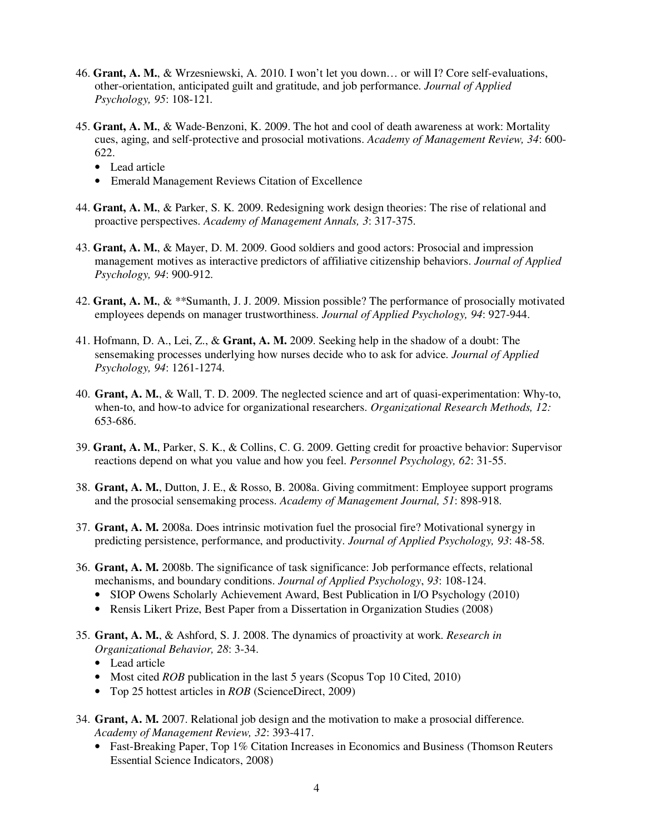- 46. **Grant, A. M.**, & Wrzesniewski, A. 2010. I won't let you down… or will I? Core self-evaluations, other-orientation, anticipated guilt and gratitude, and job performance. *Journal of Applied Psychology, 95*: 108-121*.*
- 45. **Grant, A. M.**, & Wade-Benzoni, K. 2009. The hot and cool of death awareness at work: Mortality cues, aging, and self-protective and prosocial motivations. *Academy of Management Review, 34*: 600- 622.
	- Lead article
	- Emerald Management Reviews Citation of Excellence
- 44. **Grant, A. M.**, & Parker, S. K. 2009. Redesigning work design theories: The rise of relational and proactive perspectives. *Academy of Management Annals, 3*: 317-375.
- 43. **Grant, A. M.**, & Mayer, D. M. 2009. Good soldiers and good actors: Prosocial and impression management motives as interactive predictors of affiliative citizenship behaviors. *Journal of Applied Psychology, 94*: 900-912.
- 42. **Grant, A. M.**, & \*\*Sumanth, J. J. 2009. Mission possible? The performance of prosocially motivated employees depends on manager trustworthiness. *Journal of Applied Psychology, 94*: 927-944.
- 41. Hofmann, D. A., Lei, Z., & **Grant, A. M.** 2009. Seeking help in the shadow of a doubt: The sensemaking processes underlying how nurses decide who to ask for advice. *Journal of Applied Psychology, 94*: 1261-1274.
- 40. **Grant, A. M.**, & Wall, T. D. 2009. The neglected science and art of quasi-experimentation: Why-to, when-to, and how-to advice for organizational researchers. *Organizational Research Methods, 12:*  653-686.
- 39. **Grant, A. M.**, Parker, S. K., & Collins, C. G. 2009. Getting credit for proactive behavior: Supervisor reactions depend on what you value and how you feel. *Personnel Psychology, 62*: 31-55.
- 38. **Grant, A. M.**, Dutton, J. E., & Rosso, B. 2008a. Giving commitment: Employee support programs and the prosocial sensemaking process. *Academy of Management Journal, 51*: 898-918.
- 37. **Grant, A. M.** 2008a. Does intrinsic motivation fuel the prosocial fire? Motivational synergy in predicting persistence, performance, and productivity. *Journal of Applied Psychology, 93*: 48-58.
- 36. **Grant, A. M.** 2008b. The significance of task significance: Job performance effects, relational mechanisms, and boundary conditions. *Journal of Applied Psychology*, *93*: 108-124.
	- SIOP Owens Scholarly Achievement Award, Best Publication in I/O Psychology (2010)
	- Rensis Likert Prize, Best Paper from a Dissertation in Organization Studies (2008)
- 35. **Grant, A. M.**, & Ashford, S. J. 2008. The dynamics of proactivity at work. *Research in Organizational Behavior, 28*: 3-34.
	- Lead article
	- Most cited *ROB* publication in the last 5 years (Scopus Top 10 Cited, 2010)
	- Top 25 hottest articles in *ROB* (ScienceDirect, 2009)
- 34. **Grant, A. M.** 2007. Relational job design and the motivation to make a prosocial difference. *Academy of Management Review, 32*: 393-417.
	- Fast-Breaking Paper, Top 1% Citation Increases in Economics and Business (Thomson Reuters Essential Science Indicators, 2008)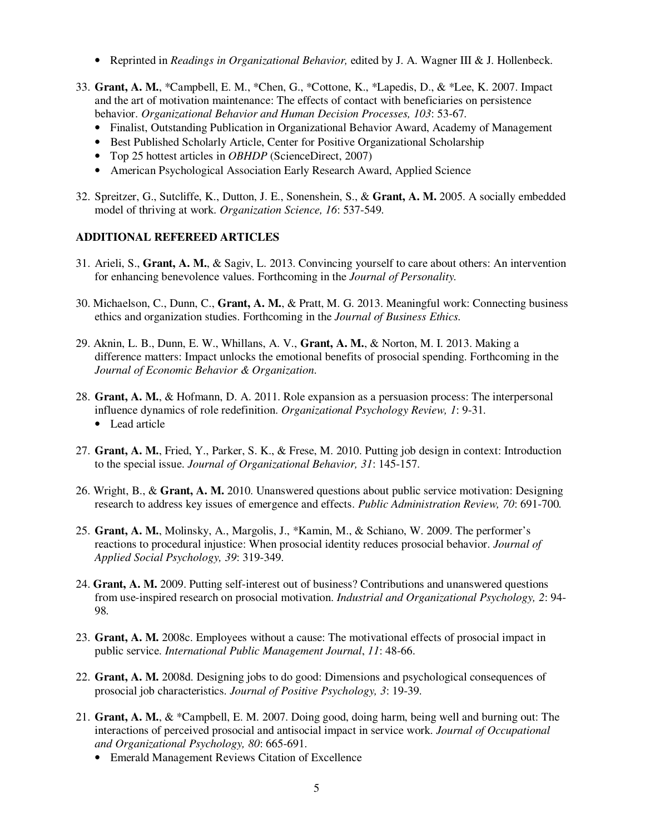- Reprinted in *Readings in Organizational Behavior,* edited by J. A. Wagner III & J. Hollenbeck.
- 33. **Grant, A. M.**, \*Campbell, E. M., \*Chen, G., \*Cottone, K., \*Lapedis, D., & \*Lee, K. 2007. Impact and the art of motivation maintenance: The effects of contact with beneficiaries on persistence behavior. *Organizational Behavior and Human Decision Processes, 103*: 53-67*.*
	- Finalist, Outstanding Publication in Organizational Behavior Award, Academy of Management
	- Best Published Scholarly Article, Center for Positive Organizational Scholarship
	- Top 25 hottest articles in *OBHDP* (ScienceDirect, 2007)
	- American Psychological Association Early Research Award, Applied Science
- 32. Spreitzer, G., Sutcliffe, K., Dutton, J. E., Sonenshein, S., & **Grant, A. M.** 2005. A socially embedded model of thriving at work. *Organization Science, 16*: 537-549*.*

#### **ADDITIONAL REFEREED ARTICLES**

- 31. Arieli, S., **Grant, A. M.**, & Sagiv, L. 2013. Convincing yourself to care about others: An intervention for enhancing benevolence values. Forthcoming in the *Journal of Personality.*
- 30. Michaelson, C., Dunn, C., **Grant, A. M.**, & Pratt, M. G. 2013. Meaningful work: Connecting business ethics and organization studies. Forthcoming in the *Journal of Business Ethics.*
- 29. Aknin, L. B., Dunn, E. W., Whillans, A. V., **Grant, A. M.**, & Norton, M. I. 2013. Making a difference matters: Impact unlocks the emotional benefits of prosocial spending. Forthcoming in the *Journal of Economic Behavior & Organization*.
- 28. **Grant, A. M.**, & Hofmann, D. A. 2011. Role expansion as a persuasion process: The interpersonal influence dynamics of role redefinition. *Organizational Psychology Review, 1*: 9-31*.*  • Lead article
- 27. **Grant, A. M.**, Fried, Y., Parker, S. K., & Frese, M. 2010. Putting job design in context: Introduction to the special issue. *Journal of Organizational Behavior, 31*: 145-157.
- 26. Wright, B., & **Grant, A. M.** 2010. Unanswered questions about public service motivation: Designing research to address key issues of emergence and effects. *Public Administration Review, 70*: 691-700*.*
- 25. **Grant, A. M.**, Molinsky, A., Margolis, J., \*Kamin, M., & Schiano, W. 2009. The performer's reactions to procedural injustice: When prosocial identity reduces prosocial behavior. *Journal of Applied Social Psychology, 39*: 319-349.
- 24. **Grant, A. M.** 2009. Putting self-interest out of business? Contributions and unanswered questions from use-inspired research on prosocial motivation. *Industrial and Organizational Psychology, 2*: 94- 98*.*
- 23. **Grant, A. M.** 2008c. Employees without a cause: The motivational effects of prosocial impact in public service. *International Public Management Journal*, *11*: 48-66.
- 22. **Grant, A. M.** 2008d. Designing jobs to do good: Dimensions and psychological consequences of prosocial job characteristics. *Journal of Positive Psychology, 3*: 19-39.
- 21. **Grant, A. M.**, & \*Campbell, E. M. 2007. Doing good, doing harm, being well and burning out: The interactions of perceived prosocial and antisocial impact in service work. *Journal of Occupational and Organizational Psychology, 80*: 665-691.
	- Emerald Management Reviews Citation of Excellence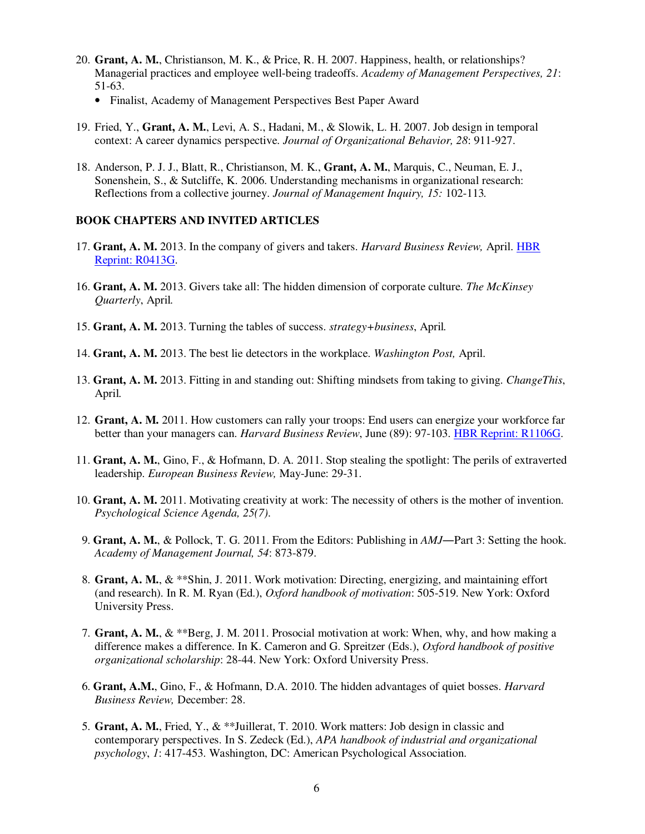- 20. **Grant, A. M.**, Christianson, M. K., & Price, R. H. 2007. Happiness, health, or relationships? Managerial practices and employee well-being tradeoffs. *Academy of Management Perspectives, 21*: 51-63.
	- Finalist, Academy of Management Perspectives Best Paper Award
- 19. Fried, Y., **Grant, A. M.**, Levi, A. S., Hadani, M., & Slowik, L. H. 2007. Job design in temporal context: A career dynamics perspective. *Journal of Organizational Behavior, 28*: 911-927.
- 18. Anderson, P. J. J., Blatt, R., Christianson, M. K., **Grant, A. M.**, Marquis, C., Neuman, E. J., Sonenshein, S., & Sutcliffe, K. 2006. Understanding mechanisms in organizational research: Reflections from a collective journey. *Journal of Management Inquiry, 15:* 102-113*.*

#### **BOOK CHAPTERS AND INVITED ARTICLES**

- 17. **Grant, A. M.** 2013. In the company of givers and takers. *Harvard Business Review,* April. HBR Reprint: R0413G.
- 16. **Grant, A. M.** 2013. Givers take all: The hidden dimension of corporate culture. *The McKinsey Quarterly*, April*.*
- 15. **Grant, A. M.** 2013. Turning the tables of success. *strategy+business*, April*.*
- 14. **Grant, A. M.** 2013. The best lie detectors in the workplace. *Washington Post,* April.
- 13. **Grant, A. M.** 2013. Fitting in and standing out: Shifting mindsets from taking to giving. *ChangeThis*, April*.*
- 12. **Grant, A. M.** 2011. How customers can rally your troops: End users can energize your workforce far better than your managers can. *Harvard Business Review*, June (89): 97-103. HBR Reprint: R1106G.
- 11. **Grant, A. M.**, Gino, F., & Hofmann, D. A. 2011. Stop stealing the spotlight: The perils of extraverted leadership. *European Business Review,* May-June: 29-31.
- 10. **Grant, A. M.** 2011. Motivating creativity at work: The necessity of others is the mother of invention. *Psychological Science Agenda, 25(7)*.
- 9. **Grant, A. M.**, & Pollock, T. G. 2011. From the Editors: Publishing in *AMJ―*Part 3: Setting the hook. *Academy of Management Journal, 54*: 873-879.
- 8. **Grant, A. M.**, & \*\*Shin, J. 2011. Work motivation: Directing, energizing, and maintaining effort (and research). In R. M. Ryan (Ed.), *Oxford handbook of motivation*: 505-519. New York: Oxford University Press.
- 7. **Grant, A. M.**, & \*\*Berg, J. M. 2011. Prosocial motivation at work: When, why, and how making a difference makes a difference. In K. Cameron and G. Spreitzer (Eds.), *Oxford handbook of positive organizational scholarship*: 28-44. New York: Oxford University Press.
- 6. **Grant, A.M.**, Gino, F., & Hofmann, D.A. 2010. The hidden advantages of quiet bosses. *Harvard Business Review,* December: 28.
- 5. **Grant, A. M.**, Fried, Y., & \*\*Juillerat, T. 2010. Work matters: Job design in classic and contemporary perspectives. In S. Zedeck (Ed.), *APA handbook of industrial and organizational psychology*, *1*: 417-453. Washington, DC: American Psychological Association.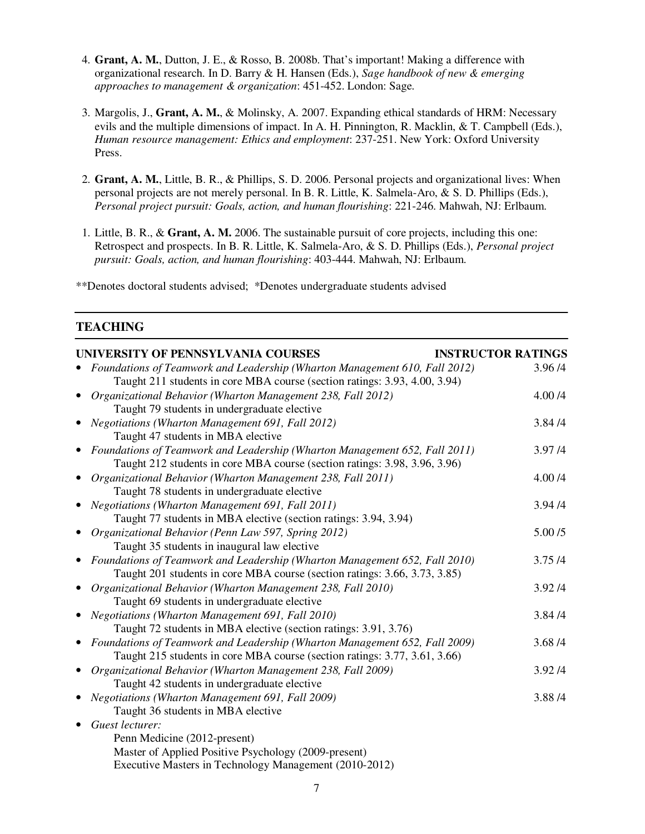- 4. **Grant, A. M.**, Dutton, J. E., & Rosso, B. 2008b. That's important! Making a difference with organizational research. In D. Barry & H. Hansen (Eds.), *Sage handbook of new & emerging approaches to management & organization*: 451-452. London: Sage.
- 3. Margolis, J., **Grant, A. M.**, & Molinsky, A. 2007. Expanding ethical standards of HRM: Necessary evils and the multiple dimensions of impact. In A. H. Pinnington, R. Macklin, & T. Campbell (Eds.), *Human resource management: Ethics and employment*: 237-251. New York: Oxford University Press.
- 2. **Grant, A. M.**, Little, B. R., & Phillips, S. D. 2006. Personal projects and organizational lives: When personal projects are not merely personal. In B. R. Little, K. Salmela-Aro, & S. D. Phillips (Eds.), *Personal project pursuit: Goals, action, and human flourishing*: 221-246. Mahwah, NJ: Erlbaum.
- 1. Little, B. R., & **Grant, A. M.** 2006. The sustainable pursuit of core projects, including this one: Retrospect and prospects. In B. R. Little, K. Salmela-Aro, & S. D. Phillips (Eds.), *Personal project pursuit: Goals, action, and human flourishing*: 403-444. Mahwah, NJ: Erlbaum.

\*\*Denotes doctoral students advised; \*Denotes undergraduate students advised

## **TEACHING**

| UNIVERSITY OF PENNSYLVANIA COURSES                                         | <b>INSTRUCTOR RATINGS</b> |
|----------------------------------------------------------------------------|---------------------------|
| Foundations of Teamwork and Leadership (Wharton Management 610, Fall 2012) | 3.96/4                    |
| Taught 211 students in core MBA course (section ratings: 3.93, 4.00, 3.94) |                           |
| Organizational Behavior (Wharton Management 238, Fall 2012)                | 4.00 /4                   |
| Taught 79 students in undergraduate elective                               |                           |
| <b>Negotiations (Wharton Management 691, Fall 2012)</b>                    | 3.84/4                    |
| Taught 47 students in MBA elective                                         |                           |
| Foundations of Teamwork and Leadership (Wharton Management 652, Fall 2011) | 3.97/4                    |
| Taught 212 students in core MBA course (section ratings: 3.98, 3.96, 3.96) |                           |
| Organizational Behavior (Wharton Management 238, Fall 2011)                | 4.00 /4                   |
| Taught 78 students in undergraduate elective                               |                           |
| Negotiations (Wharton Management 691, Fall 2011)                           | 3.94/4                    |
| Taught 77 students in MBA elective (section ratings: 3.94, 3.94)           |                           |
| Organizational Behavior (Penn Law 597, Spring 2012)                        | 5.00/5                    |
| Taught 35 students in inaugural law elective                               |                           |
| Foundations of Teamwork and Leadership (Wharton Management 652, Fall 2010) | 3.75/4                    |
| Taught 201 students in core MBA course (section ratings: 3.66, 3.73, 3.85) |                           |
| Organizational Behavior (Wharton Management 238, Fall 2010)                | 3.92/4                    |
| Taught 69 students in undergraduate elective                               |                           |
| Negotiations (Wharton Management 691, Fall 2010)                           | 3.84/4                    |
| Taught 72 students in MBA elective (section ratings: 3.91, 3.76)           |                           |
| Foundations of Teamwork and Leadership (Wharton Management 652, Fall 2009) | 3.68 / 4                  |
| Taught 215 students in core MBA course (section ratings: 3.77, 3.61, 3.66) |                           |
| Organizational Behavior (Wharton Management 238, Fall 2009)                | 3.92/4                    |
| Taught 42 students in undergraduate elective                               |                           |
| Negotiations (Wharton Management 691, Fall 2009)                           | 3.88/4                    |
| Taught 36 students in MBA elective                                         |                           |
| Guest lecturer:                                                            |                           |
| Penn Medicine (2012-present)                                               |                           |
| Master of Applied Positive Psychology (2009-present)                       |                           |
| Executive Masters in Technology Management (2010-2012)                     |                           |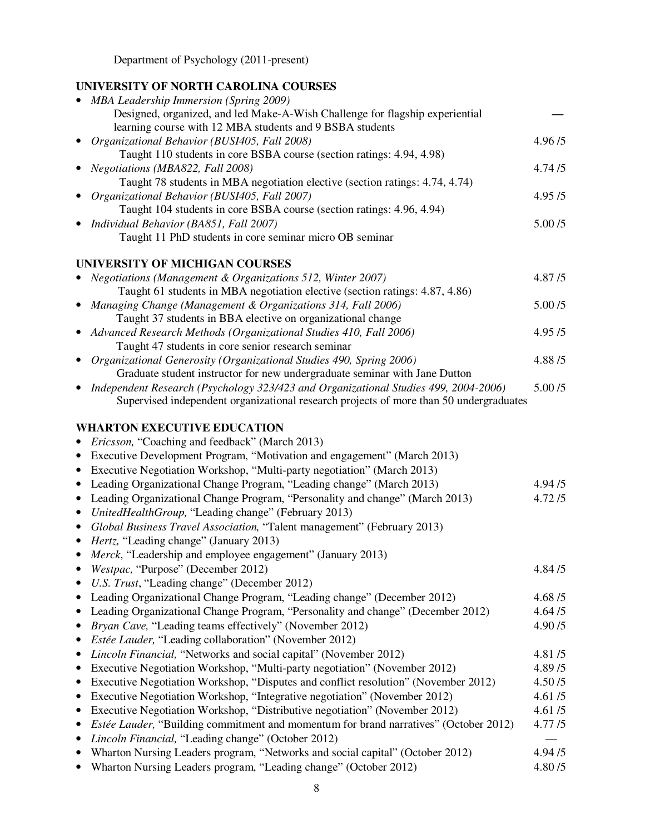Department of Psychology (2011-present)

# **UNIVERSITY OF NORTH CAROLINA COURSES**

| <b>MBA Leadership Immersion (Spring 2009)</b><br>Designed, organized, and led Make-A-Wish Challenge for flagship experiential                      |                  |
|----------------------------------------------------------------------------------------------------------------------------------------------------|------------------|
| learning course with 12 MBA students and 9 BSBA students<br>Organizational Behavior (BUSI405, Fall 2008)                                           | 4.96/5           |
| Taught 110 students in core BSBA course (section ratings: 4.94, 4.98)                                                                              |                  |
| Negotiations (MBA822, Fall 2008)                                                                                                                   | 4.74/5           |
| Taught 78 students in MBA negotiation elective (section ratings: 4.74, 4.74)                                                                       |                  |
| Organizational Behavior (BUSI405, Fall 2007)                                                                                                       | 4.95/5           |
| Taught 104 students in core BSBA course (section ratings: 4.96, 4.94)                                                                              |                  |
| Individual Behavior (BA851, Fall 2007)                                                                                                             | 5.00/5           |
| Taught 11 PhD students in core seminar micro OB seminar                                                                                            |                  |
| UNIVERSITY OF MICHIGAN COURSES                                                                                                                     |                  |
| Negotiations (Management & Organizations 512, Winter 2007)                                                                                         | 4.87/5           |
| Taught 61 students in MBA negotiation elective (section ratings: 4.87, 4.86)                                                                       |                  |
| Managing Change (Management & Organizations 314, Fall 2006)                                                                                        | 5.00/5           |
| Taught 37 students in BBA elective on organizational change                                                                                        |                  |
| Advanced Research Methods (Organizational Studies 410, Fall 2006)                                                                                  | 4.95/5           |
| Taught 47 students in core senior research seminar                                                                                                 |                  |
| Organizational Generosity (Organizational Studies 490, Spring 2006)                                                                                | 4.88/5           |
| Graduate student instructor for new undergraduate seminar with Jane Dutton                                                                         |                  |
| Independent Research (Psychology 323/423 and Organizational Studies 499, 2004-2006)                                                                | 5.00/5           |
| Supervised independent organizational research projects of more than 50 undergraduates                                                             |                  |
| <b>WHARTON EXECUTIVE EDUCATION</b>                                                                                                                 |                  |
| Ericsson, "Coaching and feedback" (March 2013)                                                                                                     |                  |
| Executive Development Program, "Motivation and engagement" (March 2013)<br>$\bullet$                                                               |                  |
| Executive Negotiation Workshop, "Multi-party negotiation" (March 2013)<br>$\bullet$                                                                |                  |
| Leading Organizational Change Program, "Leading change" (March 2013)<br>$\bullet$                                                                  | 4.94/5           |
| Leading Organizational Change Program, "Personality and change" (March 2013)<br>$\bullet$                                                          | 4.72/5           |
| UnitedHealthGroup, "Leading change" (February 2013)<br>$\bullet$                                                                                   |                  |
| Global Business Travel Association, "Talent management" (February 2013)<br>$\bullet$                                                               |                  |
| Hertz, "Leading change" (January 2013)<br>$\bullet$                                                                                                |                  |
| Merck, "Leadership and employee engagement" (January 2013)                                                                                         |                  |
| Westpac, "Purpose" (December 2012)                                                                                                                 | 4.84/5           |
| U.S. Trust, "Leading change" (December 2012)                                                                                                       |                  |
| Leading Organizational Change Program, "Leading change" (December 2012)                                                                            | 4.68/5           |
| Leading Organizational Change Program, "Personality and change" (December 2012)                                                                    | 4.64/5           |
| Bryan Cave, "Leading teams effectively" (November 2012)<br>٠                                                                                       | 4.90/5           |
| <i>Estée Lauder</i> , "Leading collaboration" (November 2012)<br>٠                                                                                 |                  |
| Lincoln Financial, "Networks and social capital" (November 2012)<br>٠<br>Executive Negotiation Workshop, "Multi-party negotiation" (November 2012) | 4.81/5<br>4.89/5 |
| Executive Negotiation Workshop, "Disputes and conflict resolution" (November 2012)<br>$\bullet$                                                    | 4.50/5           |
| Executive Negotiation Workshop, "Integrative negotiation" (November 2012)<br>٠                                                                     | 4.61/5           |
| Executive Negotiation Workshop, "Distributive negotiation" (November 2012)<br>$\bullet$                                                            | 4.61/5           |
| Estée Lauder, "Building commitment and momentum for brand narratives" (October 2012)                                                               | 4.77/5           |
| Lincoln Financial, "Leading change" (October 2012)                                                                                                 |                  |
| Wharton Nursing Leaders program, "Networks and social capital" (October 2012)<br>٠                                                                 | 4.94/5           |
| Wharton Nursing Leaders program, "Leading change" (October 2012)                                                                                   | 4.80/5           |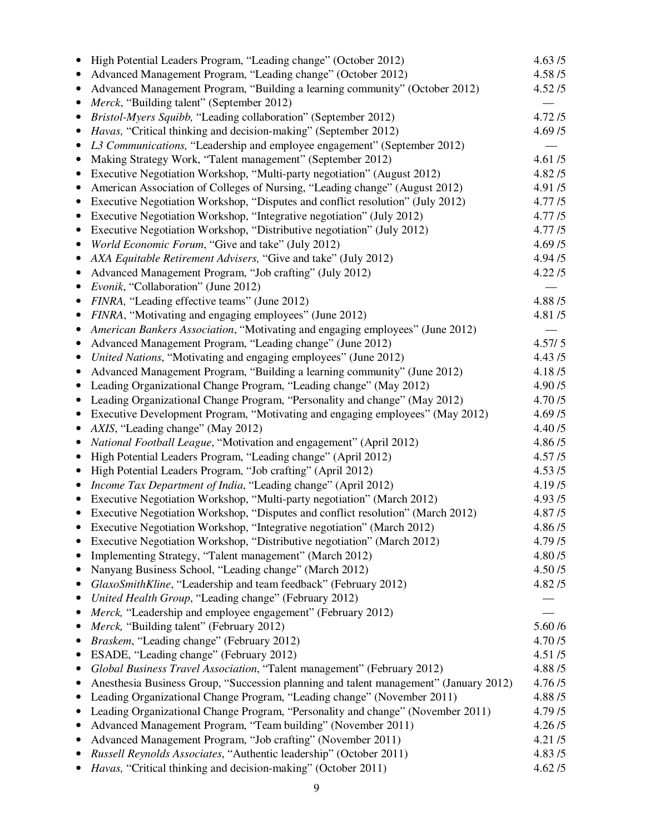|           | High Potential Leaders Program, "Leading change" (October 2012)                       | 4.63/5  |
|-----------|---------------------------------------------------------------------------------------|---------|
|           | Advanced Management Program, "Leading change" (October 2012)                          | 4.58/5  |
| $\bullet$ | Advanced Management Program, "Building a learning community" (October 2012)           | 4.52/5  |
|           | Merck, "Building talent" (September 2012)                                             |         |
|           | Bristol-Myers Squibb, "Leading collaboration" (September 2012)                        | 4.72/5  |
|           | Havas, "Critical thinking and decision-making" (September 2012)                       | 4.69/5  |
| $\bullet$ | L3 Communications, "Leadership and employee engagement" (September 2012)              |         |
|           | Making Strategy Work, "Talent management" (September 2012)                            | 4.61/5  |
| ٠         | Executive Negotiation Workshop, "Multi-party negotiation" (August 2012)               | 4.82/5  |
|           | American Association of Colleges of Nursing, "Leading change" (August 2012)           | 4.91/5  |
| $\bullet$ | Executive Negotiation Workshop, "Disputes and conflict resolution" (July 2012)        | 4.77/5  |
| $\bullet$ | Executive Negotiation Workshop, "Integrative negotiation" (July 2012)                 | 4.77/5  |
| $\bullet$ | Executive Negotiation Workshop, "Distributive negotiation" (July 2012)                | 4.77/5  |
| $\bullet$ | World Economic Forum, "Give and take" (July 2012)                                     | 4.69/5  |
|           | AXA Equitable Retirement Advisers, "Give and take" (July 2012)                        | 4.94/5  |
| $\bullet$ | Advanced Management Program, "Job crafting" (July 2012)                               | 4.22/5  |
|           | Evonik, "Collaboration" (June 2012)                                                   |         |
|           | FINRA, "Leading effective teams" (June 2012)                                          | 4.88/5  |
|           | FINRA, "Motivating and engaging employees" (June 2012)                                | 4.81/5  |
| $\bullet$ | American Bankers Association, "Motivating and engaging employees" (June 2012)         |         |
|           | Advanced Management Program, "Leading change" (June 2012)                             | 4.57/5  |
| $\bullet$ | United Nations, "Motivating and engaging employees" (June 2012)                       | 4.43/5  |
|           | Advanced Management Program, "Building a learning community" (June 2012)              | 4.18/5  |
| $\bullet$ | Leading Organizational Change Program, "Leading change" (May 2012)                    | 4.90/5  |
| ٠         | Leading Organizational Change Program, "Personality and change" (May 2012)            | 4.70/5  |
| $\bullet$ | Executive Development Program, "Motivating and engaging employees" (May 2012)         | 4.69/5  |
|           | AXIS, "Leading change" (May 2012)                                                     | 4.40/5  |
| $\bullet$ | National Football League, "Motivation and engagement" (April 2012)                    | 4.86/5  |
| $\bullet$ | High Potential Leaders Program, "Leading change" (April 2012)                         | 4.57/5  |
| $\bullet$ | High Potential Leaders Program, "Job crafting" (April 2012)                           | 4.53/5  |
| ٠         | Income Tax Department of India, "Leading change" (April 2012)                         | 4.19/5  |
| $\bullet$ | Executive Negotiation Workshop, "Multi-party negotiation" (March 2012)                | 4.93/5  |
|           | Executive Negotiation Workshop, "Disputes and conflict resolution" (March 2012)       | 4.87/5  |
|           | Executive Negotiation Workshop, "Integrative negotiation" (March 2012)                | 4.86/5  |
|           | Executive Negotiation Workshop, "Distributive negotiation" (March 2012)               | 4.79/5  |
|           | Implementing Strategy, "Talent management" (March 2012)                               | 4.80/5  |
| $\bullet$ | Nanyang Business School, "Leading change" (March 2012)                                | 4.50/5  |
|           | GlaxoSmithKline, "Leadership and team feedback" (February 2012)                       | 4.82/5  |
|           | United Health Group, "Leading change" (February 2012)                                 |         |
| $\bullet$ | Merck, "Leadership and employee engagement" (February 2012)                           |         |
| $\bullet$ | Merck, "Building talent" (February 2012)                                              | 5.60 /6 |
| ٠         | Braskem, "Leading change" (February 2012)                                             | 4.70/5  |
| $\bullet$ | ESADE, "Leading change" (February 2012)                                               | 4.51/5  |
| $\bullet$ | Global Business Travel Association, "Talent management" (February 2012)               | 4.88/5  |
| ٠         | Anesthesia Business Group, "Succession planning and talent management" (January 2012) | 4.76/5  |
| $\bullet$ | Leading Organizational Change Program, "Leading change" (November 2011)               | 4.88/5  |
|           | Leading Organizational Change Program, "Personality and change" (November 2011)       | 4.79/5  |
|           | Advanced Management Program, "Team building" (November 2011)                          | 4.26/5  |
| ٠         | Advanced Management Program, "Job crafting" (November 2011)                           | 4.21/5  |
| ٠         | Russell Reynolds Associates, "Authentic leadership" (October 2011)                    | 4.83/5  |
|           | Havas, "Critical thinking and decision-making" (October 2011)                         | 4.62/5  |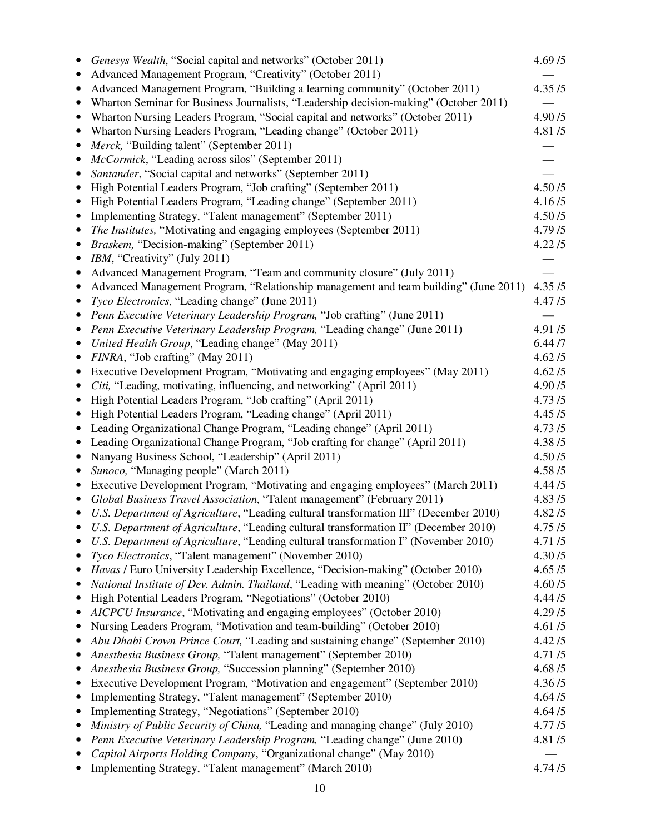|           | Genesys Wealth, "Social capital and networks" (October 2011)<br>Advanced Management Program, "Creativity" (October 2011)                 | 4.69/5           |
|-----------|------------------------------------------------------------------------------------------------------------------------------------------|------------------|
|           | Advanced Management Program, "Building a learning community" (October 2011)                                                              | 4.35/5           |
|           | Wharton Seminar for Business Journalists, "Leadership decision-making" (October 2011)                                                    |                  |
|           | Wharton Nursing Leaders Program, "Social capital and networks" (October 2011)                                                            | 4.90/5           |
|           | Wharton Nursing Leaders Program, "Leading change" (October 2011)                                                                         | 4.81/5           |
|           | Merck, "Building talent" (September 2011)                                                                                                |                  |
|           | McCormick, "Leading across silos" (September 2011)                                                                                       |                  |
|           | Santander, "Social capital and networks" (September 2011)                                                                                |                  |
| ٠         | High Potential Leaders Program, "Job crafting" (September 2011)                                                                          | 4.50/5           |
| $\bullet$ | High Potential Leaders Program, "Leading change" (September 2011)                                                                        | 4.16/5           |
| ٠         | Implementing Strategy, "Talent management" (September 2011)                                                                              | 4.50/5           |
|           | The Institutes, "Motivating and engaging employees (September 2011)                                                                      | 4.79/5           |
|           | Braskem, "Decision-making" (September 2011)                                                                                              | 4.22/5           |
| ٠         | IBM, "Creativity" (July 2011)                                                                                                            |                  |
| $\bullet$ | Advanced Management Program, "Team and community closure" (July 2011)                                                                    |                  |
|           | Advanced Management Program, "Relationship management and team building" (June 2011)                                                     | 4.35/5           |
|           | Tyco Electronics, "Leading change" (June 2011)                                                                                           | 4.47/5           |
|           | Penn Executive Veterinary Leadership Program, "Job crafting" (June 2011)                                                                 |                  |
| $\bullet$ | Penn Executive Veterinary Leadership Program, "Leading change" (June 2011)                                                               | 4.91/5           |
|           | United Health Group, "Leading change" (May 2011)                                                                                         | 6.44 /7          |
|           | FINRA, "Job crafting" (May 2011)                                                                                                         | 4.62/5           |
|           | Executive Development Program, "Motivating and engaging employees" (May 2011)                                                            | 4.62/5           |
|           | Citi, "Leading, motivating, influencing, and networking" (April 2011)                                                                    | 4.90/5           |
|           | High Potential Leaders Program, "Job crafting" (April 2011)                                                                              | 4.73/5           |
|           | High Potential Leaders Program, "Leading change" (April 2011)                                                                            | 4.45/5           |
|           | Leading Organizational Change Program, "Leading change" (April 2011)                                                                     | 4.73/5           |
| $\bullet$ | Leading Organizational Change Program, "Job crafting for change" (April 2011)                                                            | 4.38/5           |
|           | Nanyang Business School, "Leadership" (April 2011)                                                                                       | 4.50/5           |
|           | Sunoco, "Managing people" (March 2011)                                                                                                   | 4.58 / 5         |
|           | Executive Development Program, "Motivating and engaging employees" (March 2011)                                                          | 4.44/5           |
|           | Global Business Travel Association, "Talent management" (February 2011)                                                                  | 4.83/5           |
|           | U.S. Department of Agriculture, "Leading cultural transformation III" (December 2010)                                                    | 4.82/5           |
|           | U.S. Department of Agriculture, "Leading cultural transformation II" (December 2010)                                                     | 4.75/5           |
|           | U.S. Department of Agriculture, "Leading cultural transformation I" (November 2010)                                                      | 4.71/5<br>4.30/5 |
| ٠<br>٠    | Tyco Electronics, "Talent management" (November 2010)<br>Havas / Euro University Leadership Excellence, "Decision-making" (October 2010) | 4.65/5           |
|           | National Institute of Dev. Admin. Thailand, "Leading with meaning" (October 2010)                                                        | 4.60/5           |
|           | High Potential Leaders Program, "Negotiations" (October 2010)                                                                            | 4.44/5           |
|           | AICPCU Insurance, "Motivating and engaging employees" (October 2010)                                                                     | 4.29/5           |
| $\bullet$ | Nursing Leaders Program, "Motivation and team-building" (October 2010)                                                                   | 4.61/5           |
|           | Abu Dhabi Crown Prince Court, "Leading and sustaining change" (September 2010)                                                           | 4.42/5           |
|           | Anesthesia Business Group, "Talent management" (September 2010)                                                                          | 4.71/5           |
| ٠         | Anesthesia Business Group, "Succession planning" (September 2010)                                                                        | 4.68/5           |
|           | Executive Development Program, "Motivation and engagement" (September 2010)                                                              | 4.36/5           |
|           | Implementing Strategy, "Talent management" (September 2010)                                                                              | 4.64/5           |
|           | Implementing Strategy, "Negotiations" (September 2010)                                                                                   | 4.64/5           |
|           | Ministry of Public Security of China, "Leading and managing change" (July 2010)                                                          | 4.77/5           |
|           | Penn Executive Veterinary Leadership Program, "Leading change" (June 2010)                                                               | 4.81/5           |
|           | Capital Airports Holding Company, "Organizational change" (May 2010)                                                                     |                  |
|           | Implementing Strategy, "Talent management" (March 2010)                                                                                  | 4.74/5           |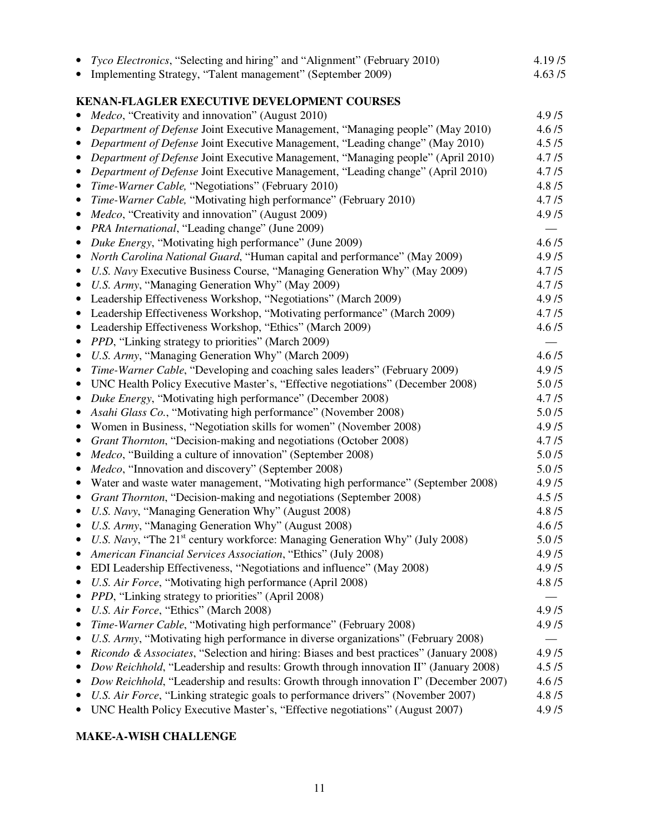| Tyco Electronics, "Selecting and hiring" and "Alignment" (February 2010)                                                                                         | 4.19/5         |
|------------------------------------------------------------------------------------------------------------------------------------------------------------------|----------------|
| Implementing Strategy, "Talent management" (September 2009)                                                                                                      | 4.63/5         |
|                                                                                                                                                                  |                |
| KENAN-FLAGLER EXECUTIVE DEVELOPMENT COURSES<br>Medco, "Creativity and innovation" (August 2010)                                                                  | 4.9/5          |
| Department of Defense Joint Executive Management, "Managing people" (May 2010)                                                                                   | 4.6/5          |
| Department of Defense Joint Executive Management, "Leading change" (May 2010)<br>$\bullet$                                                                       | 4.5/5          |
| Department of Defense Joint Executive Management, "Managing people" (April 2010)                                                                                 | 4.7/5          |
| Department of Defense Joint Executive Management, "Leading change" (April 2010)<br>$\bullet$                                                                     | 4.7/5          |
| Time-Warner Cable, "Negotiations" (February 2010)<br>$\bullet$                                                                                                   | 4.8 / 5        |
| Time-Warner Cable, "Motivating high performance" (February 2010)<br>$\bullet$                                                                                    | 4.7/5          |
| Medco, "Creativity and innovation" (August 2009)<br>$\bullet$                                                                                                    | 4.9/5          |
| PRA International, "Leading change" (June 2009)<br>$\bullet$                                                                                                     |                |
| Duke Energy, "Motivating high performance" (June 2009)<br>$\bullet$                                                                                              | 4.6/5          |
| North Carolina National Guard, "Human capital and performance" (May 2009)<br>$\bullet$                                                                           | 4.9/5          |
| U.S. Navy Executive Business Course, "Managing Generation Why" (May 2009)<br>$\bullet$                                                                           | 4.7/5          |
| U.S. Army, "Managing Generation Why" (May 2009)<br>$\bullet$                                                                                                     | 4.7/5          |
| Leadership Effectiveness Workshop, "Negotiations" (March 2009)<br>$\bullet$                                                                                      | 4.9/5          |
| Leadership Effectiveness Workshop, "Motivating performance" (March 2009)<br>$\bullet$                                                                            | 4.7/5          |
| Leadership Effectiveness Workshop, "Ethics" (March 2009)<br>$\bullet$                                                                                            | 4.6/5          |
| PPD, "Linking strategy to priorities" (March 2009)<br>$\bullet$                                                                                                  |                |
| U.S. Army, "Managing Generation Why" (March 2009)<br>$\bullet$                                                                                                   | 4.6/5          |
| Time-Warner Cable, "Developing and coaching sales leaders" (February 2009)<br>$\bullet$                                                                          | 4.9/5          |
| UNC Health Policy Executive Master's, "Effective negotiations" (December 2008)<br>$\bullet$                                                                      | 5.0/5          |
| Duke Energy, "Motivating high performance" (December 2008)<br>$\bullet$                                                                                          | 4.7/5          |
| Asahi Glass Co., "Motivating high performance" (November 2008)                                                                                                   | 5.0/5          |
| Women in Business, "Negotiation skills for women" (November 2008)<br>$\bullet$                                                                                   | 4.9/5          |
| Grant Thornton, "Decision-making and negotiations (October 2008)<br>$\bullet$                                                                                    | 4.7/5          |
| <i>Medco</i> , "Building a culture of innovation" (September 2008)<br>$\bullet$                                                                                  | 5.0/5<br>5.0/5 |
| Medco, "Innovation and discovery" (September 2008)<br>$\bullet$<br>Water and waste water management, "Motivating high performance" (September 2008)<br>$\bullet$ | 4.9/5          |
| Grant Thornton, "Decision-making and negotiations (September 2008)<br>$\bullet$                                                                                  | 4.5/5          |
| U.S. Navy, "Managing Generation Why" (August 2008)                                                                                                               | 4.8 / 5        |
| U.S. Army, "Managing Generation Why" (August 2008)                                                                                                               | 4.6/5          |
| U.S. Navy, "The 21 <sup>st</sup> century workforce: Managing Generation Why" (July 2008)                                                                         | 5.0/5          |
| American Financial Services Association, "Ethics" (July 2008)                                                                                                    | 4.9/5          |
| EDI Leadership Effectiveness, "Negotiations and influence" (May 2008)                                                                                            | 4.9/5          |
| U.S. Air Force, "Motivating high performance (April 2008)<br>٠                                                                                                   | 4.8 / 5        |
| PPD, "Linking strategy to priorities" (April 2008)<br>٠                                                                                                          |                |
| U.S. Air Force, "Ethics" (March 2008)<br>٠                                                                                                                       | 4.9/5          |
| Time-Warner Cable, "Motivating high performance" (February 2008)<br>٠                                                                                            | 4.9/5          |
| U.S. Army, "Motivating high performance in diverse organizations" (February 2008)<br>٠                                                                           |                |
| Ricondo & Associates, "Selection and hiring: Biases and best practices" (January 2008)<br>$\bullet$                                                              | 4.9/5          |
| Dow Reichhold, "Leadership and results: Growth through innovation II" (January 2008)                                                                             | 4.5/5          |
| Dow Reichhold, "Leadership and results: Growth through innovation I" (December 2007)                                                                             | 4.6/5          |
| U.S. Air Force, "Linking strategic goals to performance drivers" (November 2007)                                                                                 | 4.8 / 5        |
| UNC Health Policy Executive Master's, "Effective negotiations" (August 2007)                                                                                     | 4.9/5          |

## **MAKE-A-WISH CHALLENGE**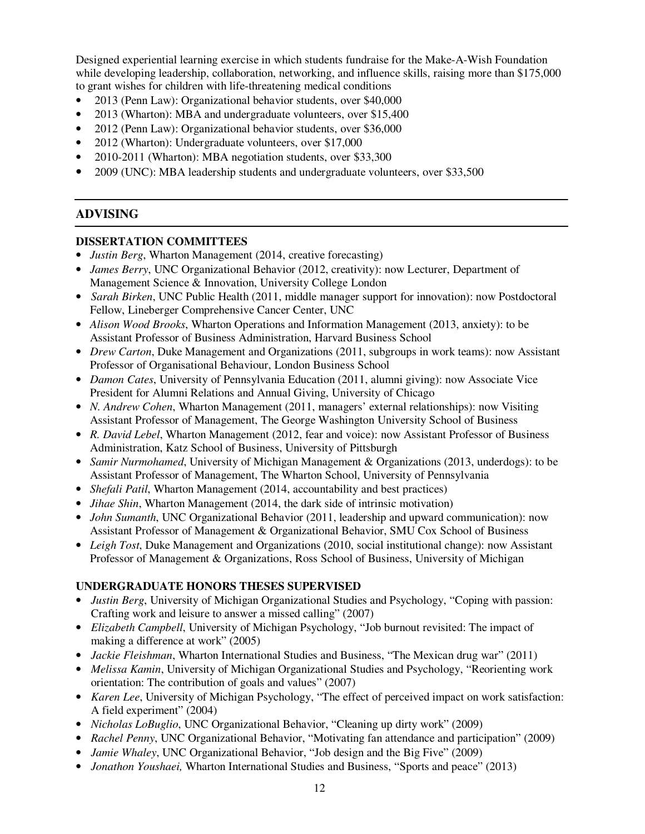Designed experiential learning exercise in which students fundraise for the Make-A-Wish Foundation while developing leadership, collaboration, networking, and influence skills, raising more than \$175,000 to grant wishes for children with life-threatening medical conditions

- 2013 (Penn Law): Organizational behavior students, over \$40,000
- 2013 (Wharton): MBA and undergraduate volunteers, over \$15,400
- 2012 (Penn Law): Organizational behavior students, over \$36,000
- 2012 (Wharton): Undergraduate volunteers, over \$17,000
- 2010-2011 (Wharton): MBA negotiation students, over \$33,300
- 2009 (UNC): MBA leadership students and undergraduate volunteers, over \$33,500

## **ADVISING**

#### **DISSERTATION COMMITTEES**

- *Justin Berg*, Wharton Management (2014, creative forecasting)
- *James Berry*, UNC Organizational Behavior (2012, creativity): now Lecturer, Department of Management Science & Innovation, University College London
- *Sarah Birken*, UNC Public Health (2011, middle manager support for innovation): now Postdoctoral Fellow, Lineberger Comprehensive Cancer Center, UNC
- *Alison Wood Brooks*, Wharton Operations and Information Management (2013, anxiety): to be Assistant Professor of Business Administration, Harvard Business School
- *Drew Carton*, Duke Management and Organizations (2011, subgroups in work teams): now Assistant Professor of Organisational Behaviour, London Business School
- *Damon Cates*, University of Pennsylvania Education (2011, alumni giving): now Associate Vice President for Alumni Relations and Annual Giving, University of Chicago
- *N. Andrew Cohen*, Wharton Management (2011, managers' external relationships): now Visiting Assistant Professor of Management, The George Washington University School of Business
- *R. David Lebel*, Wharton Management (2012, fear and voice): now Assistant Professor of Business Administration, Katz School of Business, University of Pittsburgh
- *Samir Nurmohamed*, University of Michigan Management & Organizations (2013, underdogs): to be Assistant Professor of Management, The Wharton School, University of Pennsylvania
- *Shefali Patil*, Wharton Management (2014, accountability and best practices)
- *Jihae Shin*, Wharton Management (2014, the dark side of intrinsic motivation)
- *John Sumanth*, UNC Organizational Behavior (2011, leadership and upward communication): now Assistant Professor of Management & Organizational Behavior, SMU Cox School of Business
- *Leigh Tost*, Duke Management and Organizations (2010, social institutional change): now Assistant Professor of Management & Organizations, Ross School of Business, University of Michigan

#### **UNDERGRADUATE HONORS THESES SUPERVISED**

- *Justin Berg*, University of Michigan Organizational Studies and Psychology, "Coping with passion: Crafting work and leisure to answer a missed calling" (2007)
- *Elizabeth Campbell*, University of Michigan Psychology, "Job burnout revisited: The impact of making a difference at work" (2005)
- *Jackie Fleishman*, Wharton International Studies and Business, "The Mexican drug war" (2011)
- *Melissa Kamin*, University of Michigan Organizational Studies and Psychology, "Reorienting work orientation: The contribution of goals and values" (2007)
- *Karen Lee*, University of Michigan Psychology, "The effect of perceived impact on work satisfaction: A field experiment" (2004)
- *Nicholas LoBuglio*, UNC Organizational Behavior, "Cleaning up dirty work" (2009)
- *Rachel Penny*, UNC Organizational Behavior, "Motivating fan attendance and participation" (2009)
- *Jamie Whaley*, UNC Organizational Behavior, "Job design and the Big Five" (2009)
- *Jonathon Youshaei,* Wharton International Studies and Business, "Sports and peace" (2013)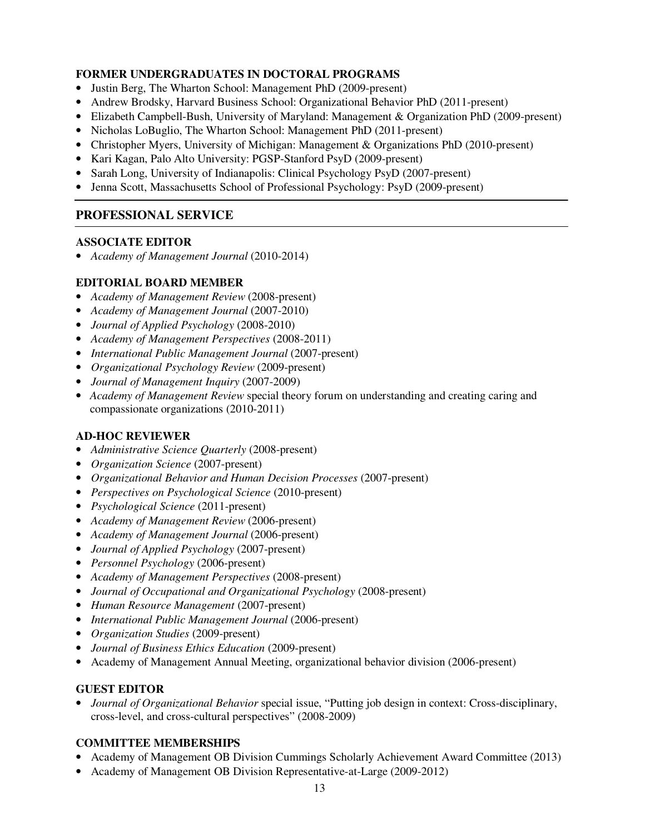## **FORMER UNDERGRADUATES IN DOCTORAL PROGRAMS**

- Justin Berg, The Wharton School: Management PhD (2009-present)
- Andrew Brodsky, Harvard Business School: Organizational Behavior PhD (2011-present)
- Elizabeth Campbell-Bush, University of Maryland: Management & Organization PhD (2009-present)
- Nicholas LoBuglio, The Wharton School: Management PhD (2011-present)
- Christopher Myers, University of Michigan: Management & Organizations PhD (2010-present)
- Kari Kagan, Palo Alto University: PGSP-Stanford PsyD (2009-present)
- Sarah Long, University of Indianapolis: Clinical Psychology PsyD (2007-present)
- Jenna Scott, Massachusetts School of Professional Psychology: PsyD (2009-present)

## **PROFESSIONAL SERVICE**

#### **ASSOCIATE EDITOR**

• *Academy of Management Journal* (2010-2014)

## **EDITORIAL BOARD MEMBER**

- *Academy of Management Review* (2008-present)
- *Academy of Management Journal* (2007-2010)
- *Journal of Applied Psychology* (2008-2010)
- *Academy of Management Perspectives* (2008-2011)
- *International Public Management Journal* (2007-present)
- *Organizational Psychology Review* (2009-present)
- *Journal of Management Inquiry* (2007-2009)
- *Academy of Management Review* special theory forum on understanding and creating caring and compassionate organizations (2010-2011)

#### **AD-HOC REVIEWER**

- *Administrative Science Quarterly* (2008-present)
- *Organization Science* (2007-present)
- *Organizational Behavior and Human Decision Processes* (2007-present)
- *Perspectives on Psychological Science* (2010-present)
- *Psychological Science* (2011-present)
- *Academy of Management Review* (2006-present)
- *Academy of Management Journal* (2006-present)
- *Journal of Applied Psychology* (2007-present)
- *Personnel Psychology* (2006-present)
- *Academy of Management Perspectives* (2008-present)
- *Journal of Occupational and Organizational Psychology* (2008-present)
- *Human Resource Management* (2007-present)
- *International Public Management Journal* (2006-present)
- *Organization Studies* (2009-present)
- *Journal of Business Ethics Education* (2009-present)
- Academy of Management Annual Meeting, organizational behavior division (2006-present)

## **GUEST EDITOR**

• *Journal of Organizational Behavior* special issue, "Putting job design in context: Cross-disciplinary, cross-level, and cross-cultural perspectives" (2008-2009)

## **COMMITTEE MEMBERSHIPS**

- Academy of Management OB Division Cummings Scholarly Achievement Award Committee (2013)
- Academy of Management OB Division Representative-at-Large (2009-2012)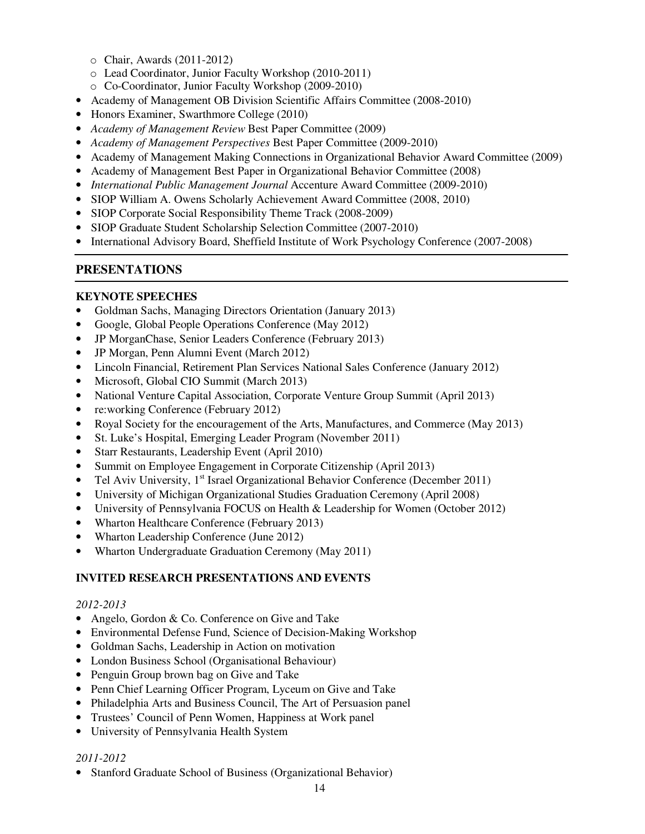- o Chair, Awards (2011-2012)
- o Lead Coordinator, Junior Faculty Workshop (2010-2011)
- o Co-Coordinator, Junior Faculty Workshop (2009-2010)
- Academy of Management OB Division Scientific Affairs Committee (2008-2010)
- Honors Examiner, Swarthmore College (2010)
- *Academy of Management Review* Best Paper Committee (2009)
- *Academy of Management Perspectives* Best Paper Committee (2009-2010)
- Academy of Management Making Connections in Organizational Behavior Award Committee (2009)
- Academy of Management Best Paper in Organizational Behavior Committee (2008)
- *International Public Management Journal* Accenture Award Committee (2009-2010)
- SIOP William A. Owens Scholarly Achievement Award Committee (2008, 2010)
- SIOP Corporate Social Responsibility Theme Track (2008-2009)
- SIOP Graduate Student Scholarship Selection Committee (2007-2010)
- International Advisory Board, Sheffield Institute of Work Psychology Conference (2007-2008)

## **PRESENTATIONS**

### **KEYNOTE SPEECHES**

- Goldman Sachs, Managing Directors Orientation (January 2013)
- Google, Global People Operations Conference (May 2012)
- JP MorganChase, Senior Leaders Conference (February 2013)
- JP Morgan, Penn Alumni Event (March 2012)
- Lincoln Financial, Retirement Plan Services National Sales Conference (January 2012)
- Microsoft, Global CIO Summit (March 2013)
- National Venture Capital Association, Corporate Venture Group Summit (April 2013)
- re:working Conference (February 2012)
- Royal Society for the encouragement of the Arts, Manufactures, and Commerce (May 2013)
- St. Luke's Hospital, Emerging Leader Program (November 2011)
- Starr Restaurants, Leadership Event (April 2010)
- Summit on Employee Engagement in Corporate Citizenship (April 2013)
- Tel Aviv University,  $1<sup>st</sup>$  Israel Organizational Behavior Conference (December 2011)
- University of Michigan Organizational Studies Graduation Ceremony (April 2008)
- University of Pennsylvania FOCUS on Health & Leadership for Women (October 2012)
- Wharton Healthcare Conference (February 2013)
- Wharton Leadership Conference (June 2012)
- Wharton Undergraduate Graduation Ceremony (May 2011)

## **INVITED RESEARCH PRESENTATIONS AND EVENTS**

#### *2012-2013*

- Angelo, Gordon & Co. Conference on Give and Take
- Environmental Defense Fund, Science of Decision-Making Workshop
- Goldman Sachs, Leadership in Action on motivation
- London Business School (Organisational Behaviour)
- Penguin Group brown bag on Give and Take
- Penn Chief Learning Officer Program, Lyceum on Give and Take
- Philadelphia Arts and Business Council, The Art of Persuasion panel
- Trustees' Council of Penn Women, Happiness at Work panel
- University of Pennsylvania Health System

## *2011-2012*

• Stanford Graduate School of Business (Organizational Behavior)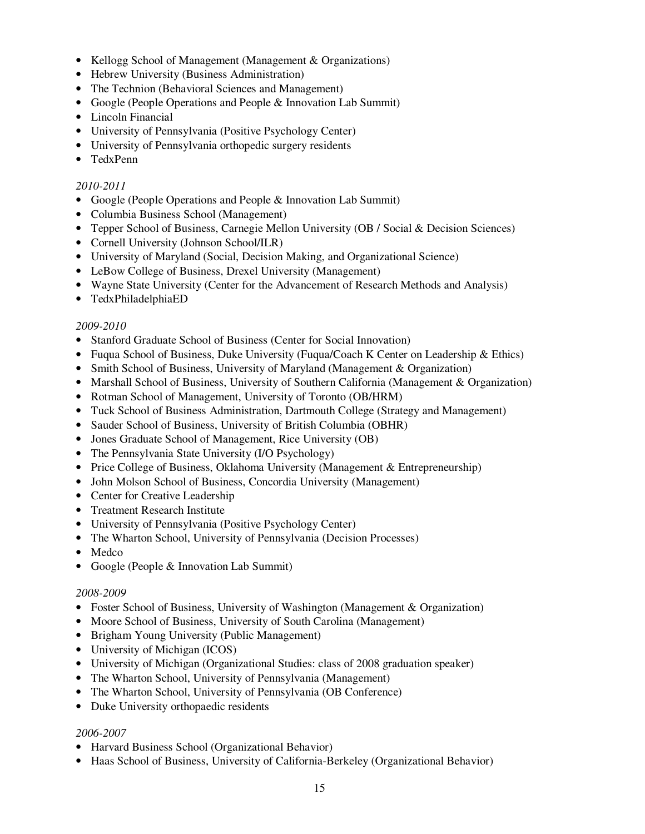- Kellogg School of Management (Management & Organizations)
- Hebrew University (Business Administration)
- The Technion (Behavioral Sciences and Management)
- Google (People Operations and People & Innovation Lab Summit)
- Lincoln Financial
- University of Pennsylvania (Positive Psychology Center)
- University of Pennsylvania orthopedic surgery residents
- TedxPenn

### *2010-2011*

- Google (People Operations and People & Innovation Lab Summit)
- Columbia Business School (Management)
- Tepper School of Business, Carnegie Mellon University (OB / Social & Decision Sciences)
- Cornell University (Johnson School/ILR)
- University of Maryland (Social, Decision Making, and Organizational Science)
- LeBow College of Business, Drexel University (Management)
- Wayne State University (Center for the Advancement of Research Methods and Analysis)
- TedxPhiladelphiaED

#### *2009-2010*

- Stanford Graduate School of Business (Center for Social Innovation)
- Fuqua School of Business, Duke University (Fuqua/Coach K Center on Leadership & Ethics)
- Smith School of Business, University of Maryland (Management & Organization)
- Marshall School of Business, University of Southern California (Management & Organization)
- Rotman School of Management, University of Toronto (OB/HRM)
- Tuck School of Business Administration, Dartmouth College (Strategy and Management)
- Sauder School of Business, University of British Columbia (OBHR)
- Jones Graduate School of Management, Rice University (OB)
- The Pennsylvania State University (I/O Psychology)
- Price College of Business, Oklahoma University (Management & Entrepreneurship)
- John Molson School of Business, Concordia University (Management)
- Center for Creative Leadership
- Treatment Research Institute
- University of Pennsylvania (Positive Psychology Center)
- The Wharton School, University of Pennsylvania (Decision Processes)
- Medco
- Google (People & Innovation Lab Summit)

#### *2008-2009*

- Foster School of Business, University of Washington (Management & Organization)
- Moore School of Business, University of South Carolina (Management)
- Brigham Young University (Public Management)
- University of Michigan (ICOS)
- University of Michigan (Organizational Studies: class of 2008 graduation speaker)
- The Wharton School, University of Pennsylvania (Management)
- The Wharton School, University of Pennsylvania (OB Conference)
- Duke University orthopaedic residents

#### *2006-2007*

- Harvard Business School (Organizational Behavior)
- Haas School of Business, University of California-Berkeley (Organizational Behavior)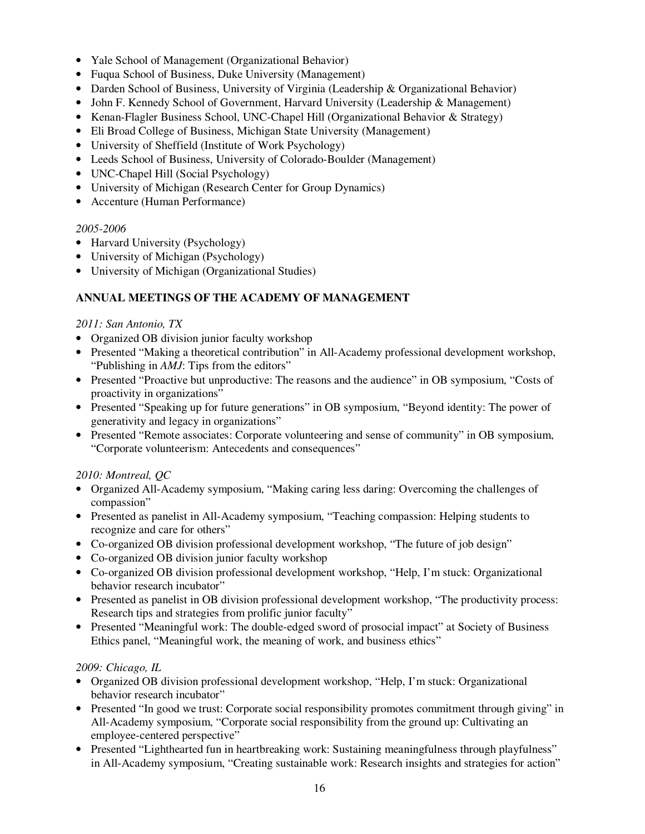- Yale School of Management (Organizational Behavior)
- Fuqua School of Business, Duke University (Management)
- Darden School of Business, University of Virginia (Leadership & Organizational Behavior)
- John F. Kennedy School of Government, Harvard University (Leadership & Management)
- Kenan-Flagler Business School, UNC-Chapel Hill (Organizational Behavior & Strategy)
- Eli Broad College of Business, Michigan State University (Management)
- University of Sheffield (Institute of Work Psychology)
- Leeds School of Business, University of Colorado-Boulder (Management)
- UNC-Chapel Hill (Social Psychology)
- University of Michigan (Research Center for Group Dynamics)
- Accenture (Human Performance)

#### *2005-2006*

- Harvard University (Psychology)
- University of Michigan (Psychology)
- University of Michigan (Organizational Studies)

## **ANNUAL MEETINGS OF THE ACADEMY OF MANAGEMENT**

#### *2011: San Antonio, TX*

- Organized OB division junior faculty workshop
- Presented "Making a theoretical contribution" in All-Academy professional development workshop, "Publishing in *AMJ*: Tips from the editors"
- Presented "Proactive but unproductive: The reasons and the audience" in OB symposium, "Costs of proactivity in organizations"
- Presented "Speaking up for future generations" in OB symposium, "Beyond identity: The power of generativity and legacy in organizations"
- Presented "Remote associates: Corporate volunteering and sense of community" in OB symposium, "Corporate volunteerism: Antecedents and consequences"

## *2010: Montreal, QC*

- Organized All-Academy symposium, "Making caring less daring: Overcoming the challenges of compassion"
- Presented as panelist in All-Academy symposium, "Teaching compassion: Helping students to recognize and care for others"
- Co-organized OB division professional development workshop, "The future of job design"
- Co-organized OB division junior faculty workshop
- Co-organized OB division professional development workshop, "Help, I'm stuck: Organizational behavior research incubator"
- Presented as panelist in OB division professional development workshop, "The productivity process: Research tips and strategies from prolific junior faculty"
- Presented "Meaningful work: The double-edged sword of prosocial impact" at Society of Business Ethics panel, "Meaningful work, the meaning of work, and business ethics"

#### *2009: Chicago, IL*

- Organized OB division professional development workshop, "Help, I'm stuck: Organizational behavior research incubator"
- Presented "In good we trust: Corporate social responsibility promotes commitment through giving" in All-Academy symposium, "Corporate social responsibility from the ground up: Cultivating an employee-centered perspective"
- Presented "Lighthearted fun in heartbreaking work: Sustaining meaningfulness through playfulness" in All-Academy symposium, "Creating sustainable work: Research insights and strategies for action"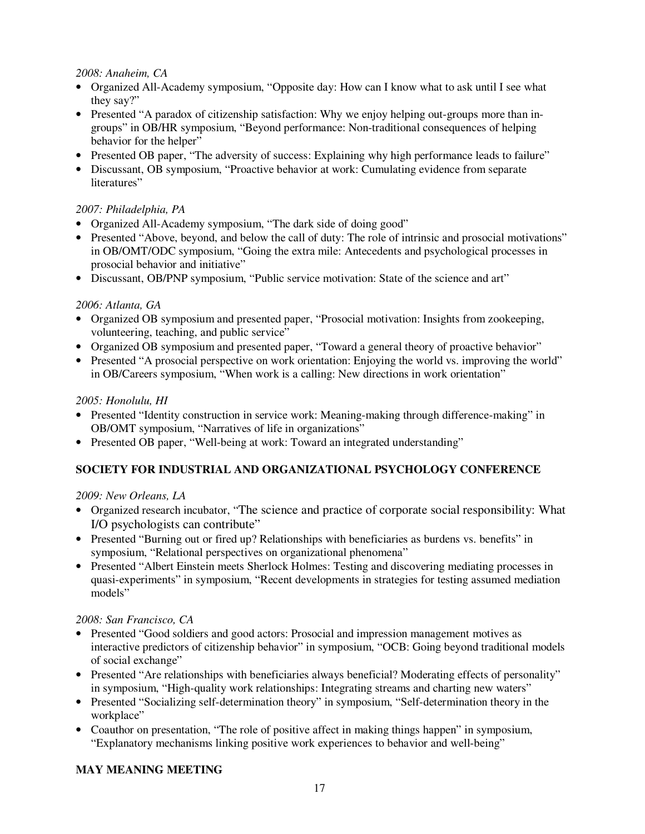## *2008: Anaheim, CA*

- Organized All-Academy symposium, "Opposite day: How can I know what to ask until I see what they say?"
- Presented "A paradox of citizenship satisfaction: Why we enjoy helping out-groups more than ingroups" in OB/HR symposium, "Beyond performance: Non-traditional consequences of helping behavior for the helper"
- Presented OB paper, "The adversity of success: Explaining why high performance leads to failure"
- Discussant, OB symposium, "Proactive behavior at work: Cumulating evidence from separate literatures"

## *2007: Philadelphia, PA*

- Organized All-Academy symposium, "The dark side of doing good"
- Presented "Above, beyond, and below the call of duty: The role of intrinsic and prosocial motivations" in OB/OMT/ODC symposium, "Going the extra mile: Antecedents and psychological processes in prosocial behavior and initiative"
- Discussant, OB/PNP symposium, "Public service motivation: State of the science and art"

## *2006: Atlanta, GA*

- Organized OB symposium and presented paper, "Prosocial motivation: Insights from zookeeping, volunteering, teaching, and public service"
- Organized OB symposium and presented paper, "Toward a general theory of proactive behavior"
- Presented "A prosocial perspective on work orientation: Enjoying the world vs. improving the world" in OB/Careers symposium, "When work is a calling: New directions in work orientation"

## *2005: Honolulu, HI*

- Presented "Identity construction in service work: Meaning-making through difference-making" in OB/OMT symposium, "Narratives of life in organizations"
- Presented OB paper, "Well-being at work: Toward an integrated understanding"

## **SOCIETY FOR INDUSTRIAL AND ORGANIZATIONAL PSYCHOLOGY CONFERENCE**

## *2009: New Orleans, LA*

- Organized research incubator, "The science and practice of corporate social responsibility: What I/O psychologists can contribute"
- Presented "Burning out or fired up? Relationships with beneficiaries as burdens vs. benefits" in symposium, "Relational perspectives on organizational phenomena"
- Presented "Albert Einstein meets Sherlock Holmes: Testing and discovering mediating processes in quasi-experiments" in symposium, "Recent developments in strategies for testing assumed mediation models"

## *2008: San Francisco, CA*

- Presented "Good soldiers and good actors: Prosocial and impression management motives as interactive predictors of citizenship behavior" in symposium, "OCB: Going beyond traditional models of social exchange"
- Presented "Are relationships with beneficiaries always beneficial? Moderating effects of personality" in symposium, "High-quality work relationships: Integrating streams and charting new waters"
- Presented "Socializing self-determination theory" in symposium, "Self-determination theory in the workplace"
- Coauthor on presentation, "The role of positive affect in making things happen" in symposium, "Explanatory mechanisms linking positive work experiences to behavior and well-being"

## **MAY MEANING MEETING**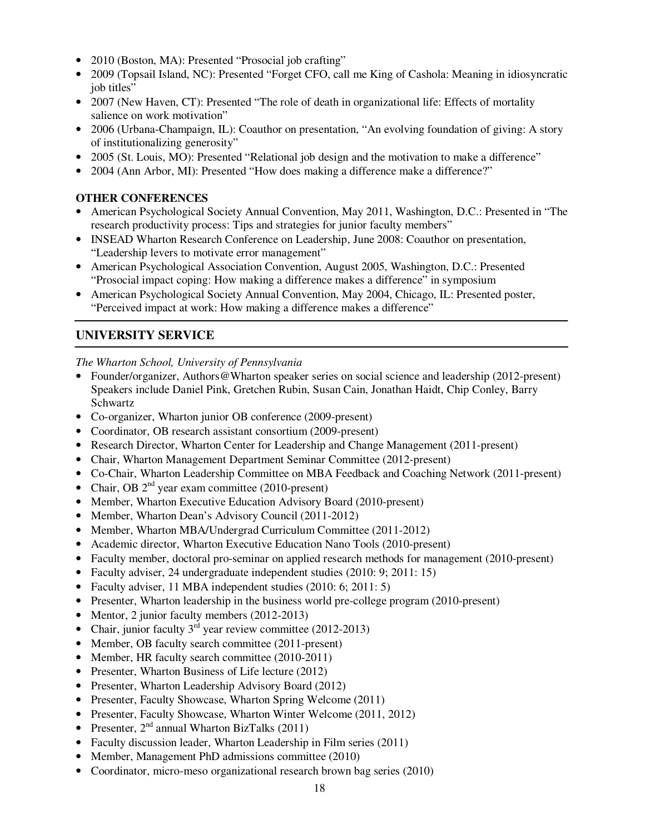- 2010 (Boston, MA): Presented "Prosocial job crafting"
- 2009 (Topsail Island, NC): Presented "Forget CFO, call me King of Cashola: Meaning in idiosyncratic job titles"
- 2007 (New Haven, CT): Presented "The role of death in organizational life: Effects of mortality salience on work motivation"
- 2006 (Urbana-Champaign, IL): Coauthor on presentation, "An evolving foundation of giving: A story of institutionalizing generosity"
- 2005 (St. Louis, MO): Presented "Relational job design and the motivation to make a difference"
- 2004 (Ann Arbor, MI): Presented "How does making a difference make a difference?"

### **OTHER CONFERENCES**

- American Psychological Society Annual Convention, May 2011, Washington, D.C.: Presented in "The research productivity process: Tips and strategies for junior faculty members"
- INSEAD Wharton Research Conference on Leadership, June 2008: Coauthor on presentation, "Leadership levers to motivate error management"
- American Psychological Association Convention, August 2005, Washington, D.C.: Presented "Prosocial impact coping: How making a difference makes a difference" in symposium
- American Psychological Society Annual Convention, May 2004, Chicago, IL: Presented poster, "Perceived impact at work: How making a difference makes a difference"

## **UNIVERSITY SERVICE**

*The Wharton School, University of Pennsylvania* 

- Founder/organizer, Authors@Wharton speaker series on social science and leadership (2012-present) Speakers include Daniel Pink, Gretchen Rubin, Susan Cain, Jonathan Haidt, Chip Conley, Barry Schwartz
- Co-organizer, Wharton junior OB conference (2009-present)
- Coordinator, OB research assistant consortium (2009-present)
- Research Director, Wharton Center for Leadership and Change Management (2011-present)
- Chair, Wharton Management Department Seminar Committee (2012-present)
- Co-Chair, Wharton Leadership Committee on MBA Feedback and Coaching Network (2011-present)
- Chair, OB  $2^{nd}$  year exam committee (2010-present)
- Member, Wharton Executive Education Advisory Board (2010-present)
- Member, Wharton Dean's Advisory Council (2011-2012)
- Member, Wharton MBA/Undergrad Curriculum Committee (2011-2012)
- Academic director, Wharton Executive Education Nano Tools (2010-present)
- Faculty member, doctoral pro-seminar on applied research methods for management (2010-present)
- Faculty adviser, 24 undergraduate independent studies (2010: 9; 2011: 15)
- Faculty adviser, 11 MBA independent studies (2010: 6; 2011: 5)
- Presenter, Wharton leadership in the business world pre-college program (2010-present)
- Mentor, 2 junior faculty members (2012-2013)
- Chair, junior faculty  $3<sup>rd</sup>$  year review committee (2012-2013)
- Member, OB faculty search committee (2011-present)
- Member, HR faculty search committee (2010-2011)
- Presenter, Wharton Business of Life lecture (2012)
- Presenter, Wharton Leadership Advisory Board (2012)
- Presenter, Faculty Showcase, Wharton Spring Welcome (2011)
- Presenter, Faculty Showcase, Wharton Winter Welcome (2011, 2012)
- Presenter,  $2<sup>nd</sup>$  annual Wharton BizTalks (2011)
- Faculty discussion leader, Wharton Leadership in Film series (2011)
- Member, Management PhD admissions committee (2010)
- Coordinator, micro-meso organizational research brown bag series (2010)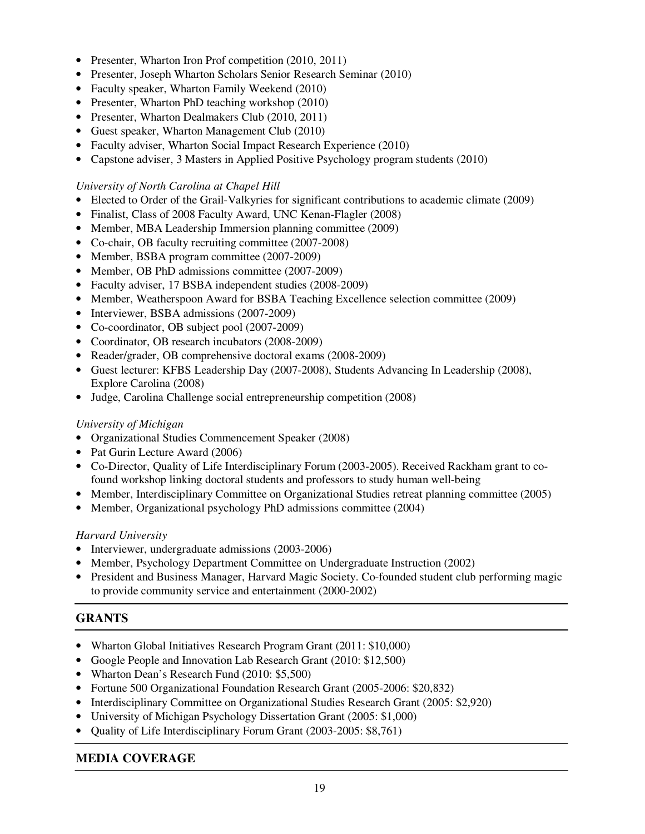- Presenter, Wharton Iron Prof competition (2010, 2011)
- Presenter, Joseph Wharton Scholars Senior Research Seminar (2010)
- Faculty speaker, Wharton Family Weekend (2010)
- Presenter, Wharton PhD teaching workshop (2010)
- Presenter, Wharton Dealmakers Club (2010, 2011)
- Guest speaker, Wharton Management Club (2010)
- Faculty adviser, Wharton Social Impact Research Experience (2010)
- Capstone adviser, 3 Masters in Applied Positive Psychology program students (2010)

## *University of North Carolina at Chapel Hill*

- Elected to Order of the Grail-Valkyries for significant contributions to academic climate (2009)
- Finalist, Class of 2008 Faculty Award, UNC Kenan-Flagler (2008)
- Member, MBA Leadership Immersion planning committee (2009)
- Co-chair, OB faculty recruiting committee (2007-2008)
- Member, BSBA program committee (2007-2009)
- Member, OB PhD admissions committee (2007-2009)
- Faculty adviser, 17 BSBA independent studies (2008-2009)
- Member, Weatherspoon Award for BSBA Teaching Excellence selection committee (2009)
- Interviewer, BSBA admissions (2007-2009)
- Co-coordinator, OB subject pool (2007-2009)
- Coordinator, OB research incubators (2008-2009)
- Reader/grader, OB comprehensive doctoral exams (2008-2009)
- Guest lecturer: KFBS Leadership Day (2007-2008), Students Advancing In Leadership (2008), Explore Carolina (2008)
- Judge, Carolina Challenge social entrepreneurship competition (2008)

## *University of Michigan*

- Organizational Studies Commencement Speaker (2008)
- Pat Gurin Lecture Award (2006)
- Co-Director, Quality of Life Interdisciplinary Forum (2003-2005). Received Rackham grant to cofound workshop linking doctoral students and professors to study human well-being
- Member, Interdisciplinary Committee on Organizational Studies retreat planning committee (2005)
- Member, Organizational psychology PhD admissions committee (2004)

## *Harvard University*

- Interviewer, undergraduate admissions (2003-2006)
- Member, Psychology Department Committee on Undergraduate Instruction (2002)
- President and Business Manager, Harvard Magic Society. Co-founded student club performing magic to provide community service and entertainment (2000-2002)

## **GRANTS**

- Wharton Global Initiatives Research Program Grant (2011: \$10,000)
- Google People and Innovation Lab Research Grant (2010: \$12,500)
- Wharton Dean's Research Fund (2010: \$5,500)
- Fortune 500 Organizational Foundation Research Grant (2005-2006: \$20,832)
- Interdisciplinary Committee on Organizational Studies Research Grant (2005: \$2,920)
- University of Michigan Psychology Dissertation Grant (2005: \$1,000)
- Quality of Life Interdisciplinary Forum Grant (2003-2005: \$8,761)

## **MEDIA COVERAGE**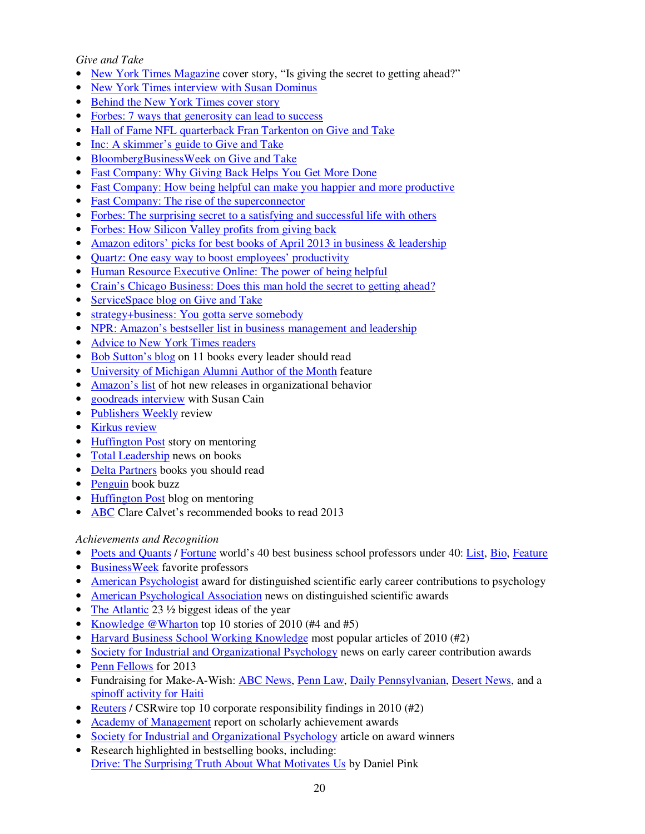### *Give and Take*

- New York Times Magazine cover story, "Is giving the secret to getting ahead?"
- New York Times interview with Susan Dominus
- Behind the New York Times cover story
- Forbes: 7 ways that generosity can lead to success
- Hall of Fame NFL quarterback Fran Tarkenton on Give and Take
- Inc: A skimmer's guide to Give and Take
- BloombergBusinessWeek on Give and Take
- Fast Company: Why Giving Back Helps You Get More Done
- Fast Company: How being helpful can make you happier and more productive
- Fast Company: The rise of the superconnector
- Forbes: The surprising secret to a satisfying and successful life with others
- Forbes: How Silicon Valley profits from giving back
- Amazon editors' picks for best books of April 2013 in business & leadership
- Quartz: One easy way to boost employees' productivity
- Human Resource Executive Online: The power of being helpful
- Crain's Chicago Business: Does this man hold the secret to getting ahead?
- ServiceSpace blog on Give and Take
- strategy+business: You gotta serve somebody
- NPR: Amazon's bestseller list in business management and leadership
- Advice to New York Times readers
- Bob Sutton's blog on 11 books every leader should read
- University of Michigan Alumni Author of the Month feature
- Amazon's list of hot new releases in organizational behavior
- goodreads interview with Susan Cain
- Publishers Weekly review
- Kirkus review
- Huffington Post story on mentoring
- Total Leadership news on books
- Delta Partners books you should read
- Penguin book buzz
- Huffington Post blog on mentoring
- ABC Clare Calvet's recommended books to read 2013

## *Achievements and Recognition*

- Poets and Quants / Fortune world's 40 best business school professors under 40: List, Bio, Feature
- BusinessWeek favorite professors
- American Psychologist award for distinguished scientific early career contributions to psychology
- American Psychological Association news on distinguished scientific awards
- The Atlantic 23  $\frac{1}{2}$  biggest ideas of the year
- Knowledge @Wharton top 10 stories of 2010 (#4 and #5)
- Harvard Business School Working Knowledge most popular articles of 2010 (#2)
- Society for Industrial and Organizational Psychology news on early career contribution awards
- Penn Fellows for 2013
- Fundraising for Make-A-Wish: **ABC News, Penn Law, Daily Pennsylvanian, Desert News**, and a spinoff activity for Haiti
- Reuters / CSR wire top 10 corporate responsibility findings in 2010 (#2)
- Academy of Management report on scholarly achievement awards
- Society for Industrial and Organizational Psychology article on award winners
- Research highlighted in bestselling books, including: Drive: The Surprising Truth About What Motivates Us by Daniel Pink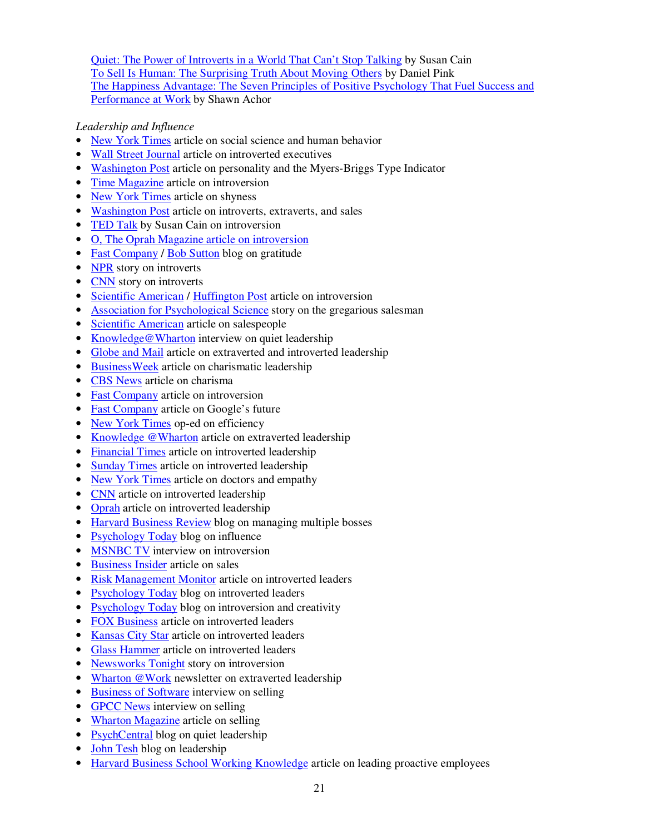Quiet: The Power of Introverts in a World That Can't Stop Talking by Susan Cain To Sell Is Human: The Surprising Truth About Moving Others by Daniel Pink The Happiness Advantage: The Seven Principles of Positive Psychology That Fuel Success and Performance at Work by Shawn Achor

## *Leadership and Influence*

- New York Times article on social science and human behavior
- Wall Street Journal article on introverted executives
- Washington Post article on personality and the Myers-Briggs Type Indicator
- Time Magazine article on introversion
- New York Times article on shyness
- Washington Post article on introverts, extraverts, and sales
- TED Talk by Susan Cain on introversion
- O, The Oprah Magazine article on introversion
- Fast Company / Bob Sutton blog on gratitude
- NPR story on introverts
- CNN story on introverts
- Scientific American / Huffington Post article on introversion
- Association for Psychological Science story on the gregarious salesman
- Scientific American article on salespeople
- Knowledge@Wharton interview on quiet leadership
- Globe and Mail article on extraverted and introverted leadership
- BusinessWeek article on charismatic leadership
- CBS News article on charisma
- Fast Company article on introversion
- Fast Company article on Google's future
- New York Times op-ed on efficiency
- Knowledge @Wharton article on extraverted leadership
- Financial Times article on introverted leadership
- Sunday Times article on introverted leadership
- New York Times article on doctors and empathy
- CNN article on introverted leadership
- Oprah article on introverted leadership
- Harvard Business Review blog on managing multiple bosses
- Psychology Today blog on influence
- **MSNBC TV** interview on introversion
- Business Insider article on sales
- Risk Management Monitor article on introverted leaders
- Psychology Today blog on introverted leaders
- Psychology Today blog on introversion and creativity
- FOX Business article on introverted leaders
- Kansas City Star article on introverted leaders
- Glass Hammer article on introverted leaders
- Newsworks Tonight story on introversion
- Wharton @Work newsletter on extraverted leadership
- Business of Software interview on selling
- GPCC News interview on selling
- Wharton Magazine article on selling
- PsychCentral blog on quiet leadership
- John Tesh blog on leadership
- Harvard Business School Working Knowledge article on leading proactive employees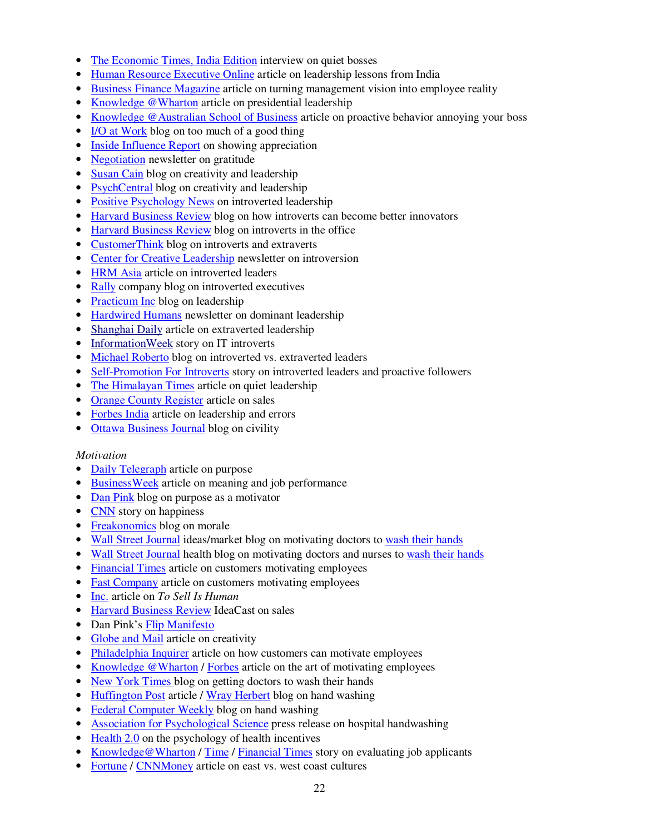- The Economic Times, India Edition interview on quiet bosses
- Human Resource Executive Online article on leadership lessons from India
- Business Finance Magazine article on turning management vision into employee reality
- Knowledge @Wharton article on presidential leadership
- Knowledge @Australian School of Business article on proactive behavior annoying your boss
- I/O at Work blog on too much of a good thing
- Inside Influence Report on showing appreciation
- Negotiation newsletter on gratitude
- Susan Cain blog on creativity and leadership
- PsychCentral blog on creativity and leadership
- Positive Psychology News on introverted leadership
- Harvard Business Review blog on how introverts can become better innovators
- Harvard Business Review blog on introverts in the office
- CustomerThink blog on introverts and extraverts
- Center for Creative Leadership newsletter on introversion
- HRM Asia article on introverted leaders
- Rally company blog on introverted executives
- Practicum Inc blog on leadership
- Hardwired Humans newsletter on dominant leadership
- Shanghai Daily article on extraverted leadership
- InformationWeek story on IT introverts
- Michael Roberto blog on introverted vs. extraverted leaders
- Self-Promotion For Introverts story on introverted leaders and proactive followers
- The Himalayan Times article on quiet leadership
- Orange County Register article on sales
- Forbes India article on leadership and errors
- Ottawa Business Journal blog on civility

#### *Motivation*

- Daily Telegraph article on purpose
- BusinessWeek article on meaning and job performance
- Dan Pink blog on purpose as a motivator
- CNN story on happiness
- Freakonomics blog on morale
- Wall Street Journal ideas/market blog on motivating doctors to wash their hands
- Wall Street Journal health blog on motivating doctors and nurses to wash their hands
- Financial Times article on customers motivating employees
- Fast Company article on customers motivating employees
- Inc. article on *To Sell Is Human*
- Harvard Business Review IdeaCast on sales
- Dan Pink's Flip Manifesto
- Globe and Mail article on creativity
- Philadelphia Inquirer article on how customers can motivate employees
- Knowledge @Wharton / Forbes article on the art of motivating employees
- New York Times blog on getting doctors to wash their hands
- Huffington Post article / Wray Herbert blog on hand washing
- Federal Computer Weekly blog on hand washing
- Association for Psychological Science press release on hospital handwashing
- Health 2.0 on the psychology of health incentives
- Knowledge@Wharton / Time / Financial Times story on evaluating job applicants
- Fortune / CNNMoney article on east vs. west coast cultures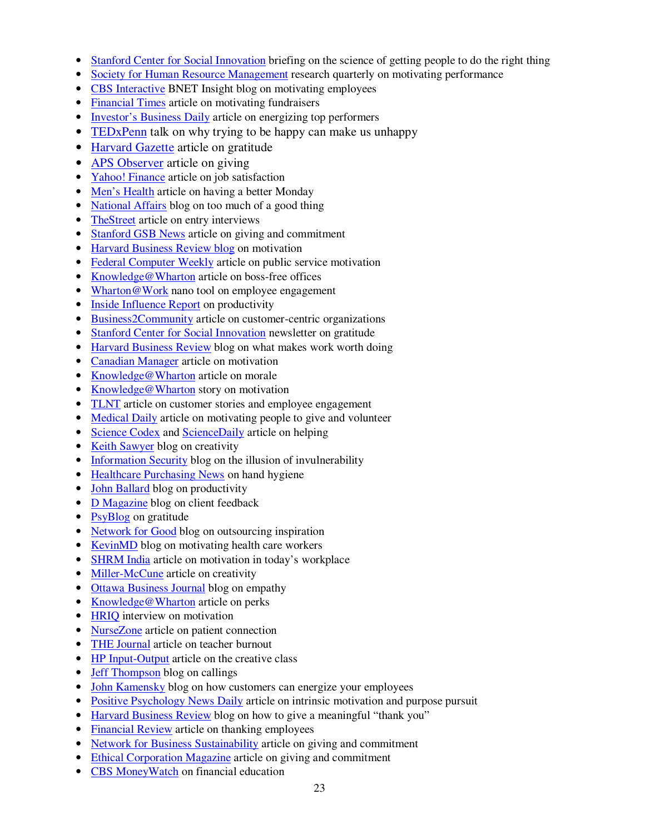- Stanford Center for Social Innovation briefing on the science of getting people to do the right thing
- Society for Human Resource Management research quarterly on motivating performance
- CBS Interactive BNET Insight blog on motivating employees
- Financial Times article on motivating fundraisers
- Investor's Business Daily article on energizing top performers
- TEDxPenn talk on why trying to be happy can make us unhappy
- Harvard Gazette article on gratitude
- APS Observer article on giving
- Yahoo! Finance article on job satisfaction
- Men's Health article on having a better Monday
- National Affairs blog on too much of a good thing
- TheStreet article on entry interviews
- Stanford GSB News article on giving and commitment
- Harvard Business Review blog on motivation
- Federal Computer Weekly article on public service motivation
- Knowledge@Wharton article on boss-free offices
- Wharton@Work nano tool on employee engagement
- Inside Influence Report on productivity
- Business2Community article on customer-centric organizations
- Stanford Center for Social Innovation newsletter on gratitude
- Harvard Business Review blog on what makes work worth doing
- Canadian Manager article on motivation
- Knowledge@Wharton article on morale
- Knowledge@Wharton story on motivation
- TLNT article on customer stories and employee engagement
- Medical Daily article on motivating people to give and volunteer
- Science Codex and ScienceDaily article on helping
- Keith Sawyer blog on creativity
- Information Security blog on the illusion of invulnerability
- Healthcare Purchasing News on hand hygiene
- John Ballard blog on productivity
- D Magazine blog on client feedback
- PsyBlog on gratitude
- Network for Good blog on outsourcing inspiration
- KevinMD blog on motivating health care workers
- SHRM India article on motivation in today's workplace
- Miller-McCune article on creativity
- Ottawa Business Journal blog on empathy
- Knowledge@Wharton article on perks
- **HRIQ** interview on motivation
- NurseZone article on patient connection
- THE Journal article on teacher burnout
- HP Input-Output article on the creative class
- **Jeff Thompson blog on callings**
- John Kamensky blog on how customers can energize your employees
- Positive Psychology News Daily article on intrinsic motivation and purpose pursuit
- Harvard Business Review blog on how to give a meaningful "thank you"
- Financial Review article on thanking employees
- Network for Business Sustainability article on giving and commitment
- Ethical Corporation Magazine article on giving and commitment
- CBS MoneyWatch on financial education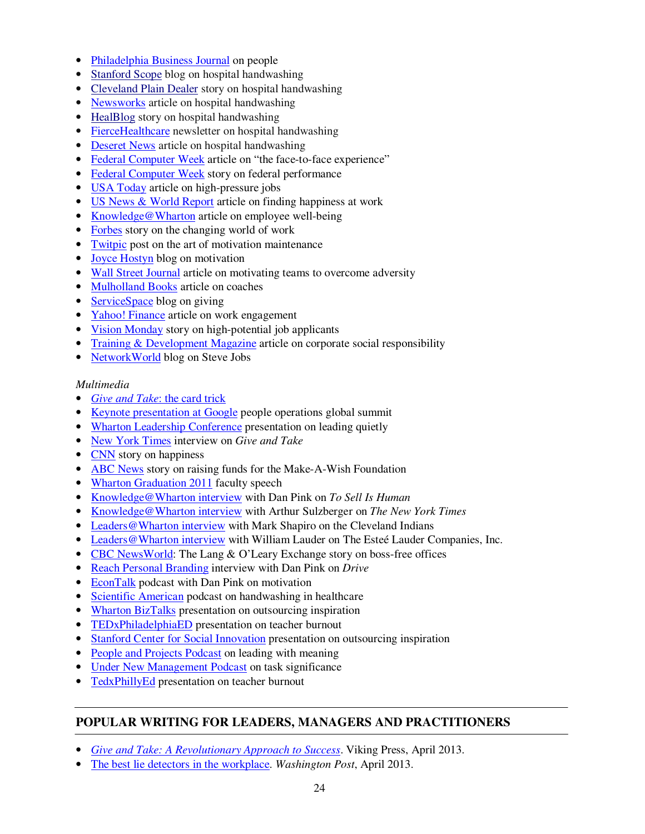- Philadelphia Business Journal on people
- Stanford Scope blog on hospital handwashing
- Cleveland Plain Dealer story on hospital handwashing
- Newsworks article on hospital handwashing
- HealBlog story on hospital handwashing
- FierceHealthcare newsletter on hospital handwashing
- Deseret News article on hospital handwashing
- Federal Computer Week article on "the face-to-face experience"
- Federal Computer Week story on federal performance
- USA Today article on high-pressure jobs
- US News & World Report article on finding happiness at work
- Knowledge@Wharton article on employee well-being
- Forbes story on the changing world of work
- Twitpic post on the art of motivation maintenance
- Joyce Hostyn blog on motivation
- Wall Street Journal article on motivating teams to overcome adversity
- Mulholland Books article on coaches
- ServiceSpace blog on giving
- Yahoo! Finance article on work engagement
- Vision Monday story on high-potential job applicants
- Training & Development Magazine article on corporate social responsibility
- NetworkWorld blog on Steve Jobs

#### *Multimedia*

- *Give and Take*: the card trick
- Keynote presentation at Google people operations global summit
- Wharton Leadership Conference presentation on leading quietly
- New York Times interview on *Give and Take*
- CNN story on happiness
- ABC News story on raising funds for the Make-A-Wish Foundation
- Wharton Graduation 2011 faculty speech
- Knowledge@Wharton interview with Dan Pink on *To Sell Is Human*
- Knowledge@Wharton interview with Arthur Sulzberger on *The New York Times*
- Leaders@Wharton interview with Mark Shapiro on the Cleveland Indians
- Leaders@Wharton interview with William Lauder on The Esteé Lauder Companies, Inc.
- CBC NewsWorld: The Lang & O'Leary Exchange story on boss-free offices
- Reach Personal Branding interview with Dan Pink on *Drive*
- EconTalk podcast with Dan Pink on motivation
- Scientific American podcast on handwashing in healthcare
- Wharton BizTalks presentation on outsourcing inspiration
- TEDxPhiladelphiaED presentation on teacher burnout
- Stanford Center for Social Innovation presentation on outsourcing inspiration
- People and Projects Podcast on leading with meaning
- Under New Management Podcast on task significance
- TedxPhillyEd presentation on teacher burnout

## **POPULAR WRITING FOR LEADERS, MANAGERS AND PRACTITIONERS**

- *Give and Take: A Revolutionary Approach to Success*. Viking Press, April 2013.
- The best lie detectors in the workplace. *Washington Post*, April 2013.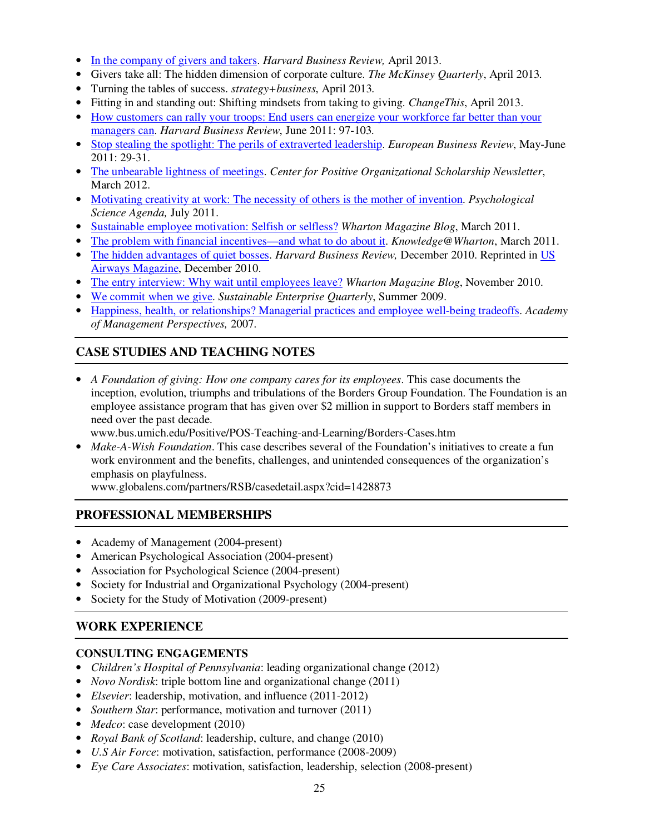- In the company of givers and takers. *Harvard Business Review,* April 2013.
- Givers take all: The hidden dimension of corporate culture. *The McKinsey Quarterly*, April 2013*.*
- Turning the tables of success. *strategy+business*, April 2013*.*
- Fitting in and standing out: Shifting mindsets from taking to giving. *ChangeThis*, April 2013.
- How customers can rally your troops: End users can energize your workforce far better than your managers can. *Harvard Business Review*, June 2011: 97-103*.*
- Stop stealing the spotlight: The perils of extraverted leadership. *European Business Review*, May-June 2011: 29-31.
- The unbearable lightness of meetings. *Center for Positive Organizational Scholarship Newsletter*, March 2012.
- Motivating creativity at work: The necessity of others is the mother of invention. *Psychological Science Agenda,* July 2011.
- Sustainable employee motivation: Selfish or selfless? *Wharton Magazine Blog*, March 2011.
- The problem with financial incentives—and what to do about it. *Knowledge@Wharton*, March 2011.
- The hidden advantages of quiet bosses. *Harvard Business Review*, December 2010. Reprinted in US Airways Magazine, December 2010.
- The entry interview: Why wait until employees leave? *Wharton Magazine Blog*, November 2010.
- We commit when we give. *Sustainable Enterprise Quarterly*, Summer 2009.
- Happiness, health, or relationships? Managerial practices and employee well-being tradeoffs. *Academy of Management Perspectives,* 2007.

### **CASE STUDIES AND TEACHING NOTES**

• *A Foundation of giving: How one company cares for its employees*. This case documents the inception, evolution, triumphs and tribulations of the Borders Group Foundation. The Foundation is an employee assistance program that has given over \$2 million in support to Borders staff members in need over the past decade.

www.bus.umich.edu/Positive/POS-Teaching-and-Learning/Borders-Cases.htm

• *Make-A-Wish Foundation*. This case describes several of the Foundation's initiatives to create a fun work environment and the benefits, challenges, and unintended consequences of the organization's emphasis on playfulness.

www.globalens.com/partners/RSB/casedetail.aspx?cid=1428873

## **PROFESSIONAL MEMBERSHIPS**

- Academy of Management (2004-present)
- American Psychological Association (2004-present)
- Association for Psychological Science (2004-present)
- Society for Industrial and Organizational Psychology (2004-present)
- Society for the Study of Motivation (2009-present)

## **WORK EXPERIENCE**

## **CONSULTING ENGAGEMENTS**

- *Children's Hospital of Pennsylvania*: leading organizational change (2012)
- *Novo Nordisk*: triple bottom line and organizational change (2011)
- *Elsevier*: leadership, motivation, and influence (2011-2012)
- *Southern Star*: performance, motivation and turnover (2011)
- *Medco*: case development (2010)
- *Royal Bank of Scotland*: leadership, culture, and change (2010)
- *U.S Air Force*: motivation, satisfaction, performance (2008-2009)
- *Eye Care Associates*: motivation, satisfaction, leadership, selection (2008-present)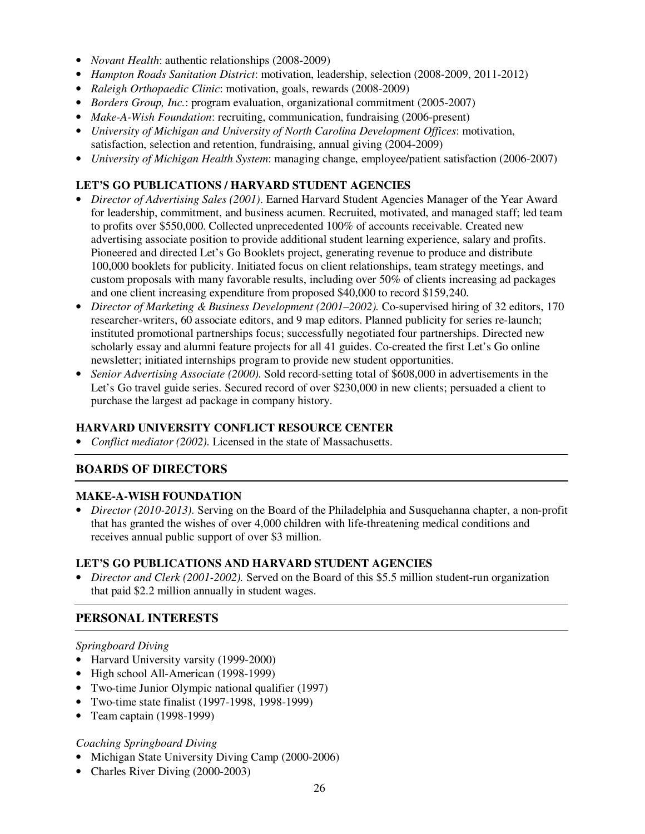- *Novant Health*: authentic relationships (2008-2009)
- *Hampton Roads Sanitation District*: motivation, leadership, selection (2008-2009, 2011-2012)
- *Raleigh Orthopaedic Clinic*: motivation, goals, rewards (2008-2009)
- *Borders Group, Inc.*: program evaluation, organizational commitment (2005-2007)
- *Make-A-Wish Foundation*: recruiting, communication, fundraising (2006-present)
- *University of Michigan and University of North Carolina Development Offices*: motivation, satisfaction, selection and retention, fundraising, annual giving (2004-2009)
- *University of Michigan Health System*: managing change, employee/patient satisfaction (2006-2007)

## **LET'S GO PUBLICATIONS / HARVARD STUDENT AGENCIES**

- *Director of Advertising Sales (2001)*. Earned Harvard Student Agencies Manager of the Year Award for leadership, commitment, and business acumen. Recruited, motivated, and managed staff; led team to profits over \$550,000. Collected unprecedented 100% of accounts receivable. Created new advertising associate position to provide additional student learning experience, salary and profits. Pioneered and directed Let's Go Booklets project, generating revenue to produce and distribute 100,000 booklets for publicity. Initiated focus on client relationships, team strategy meetings, and custom proposals with many favorable results, including over 50% of clients increasing ad packages and one client increasing expenditure from proposed \$40,000 to record \$159,240.
- *Director of Marketing & Business Development (2001–2002).* Co-supervised hiring of 32 editors, 170 researcher-writers, 60 associate editors, and 9 map editors. Planned publicity for series re-launch; instituted promotional partnerships focus; successfully negotiated four partnerships. Directed new scholarly essay and alumni feature projects for all 41 guides. Co-created the first Let's Go online newsletter; initiated internships program to provide new student opportunities.
- *Senior Advertising Associate (2000).* Sold record-setting total of \$608,000 in advertisements in the Let's Go travel guide series. Secured record of over \$230,000 in new clients; persuaded a client to purchase the largest ad package in company history.

## **HARVARD UNIVERSITY CONFLICT RESOURCE CENTER**

• *Conflict mediator (2002).* Licensed in the state of Massachusetts.

## **BOARDS OF DIRECTORS**

#### **MAKE-A-WISH FOUNDATION**

• *Director (2010-2013).* Serving on the Board of the Philadelphia and Susquehanna chapter, a non-profit that has granted the wishes of over 4,000 children with life-threatening medical conditions and receives annual public support of over \$3 million.

#### **LET'S GO PUBLICATIONS AND HARVARD STUDENT AGENCIES**

• *Director and Clerk (2001-2002).* Served on the Board of this \$5.5 million student-run organization that paid \$2.2 million annually in student wages.

## **PERSONAL INTERESTS**

#### *Springboard Diving*

- Harvard University varsity (1999-2000)
- High school All-American (1998-1999)
- Two-time Junior Olympic national qualifier (1997)
- Two-time state finalist (1997-1998, 1998-1999)
- Team captain (1998-1999)

#### *Coaching Springboard Diving*

- Michigan State University Diving Camp (2000-2006)
- Charles River Diving (2000-2003)